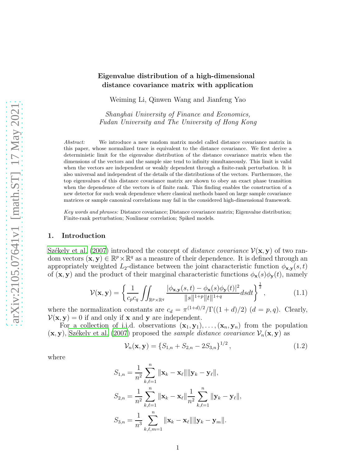# Eigenvalue distribution of a high-dimensional distance covariance matrix with application

Weiming Li, Qinwen Wang and Jianfeng Yao

Shanghai University of Finance and Economics, Fudan University and The University of Hong Kong

*Abstract:* We introduce a new random matrix model called distance covariance matrix in this paper, whose normalized trace is equivalent to the distance covariance. We first derive a deterministic limit for the eigenvalue distribution of the distance covariance matrix when the dimensions of the vectors and the sample size tend to infinity simultaneously. This limit is valid when the vectors are independent or weakly dependent through a finite-rank perturbation. It is also universal and independent of the details of the distributions of the vectors. Furthermore, the top eigenvalues of this distance covariance matrix are shown to obey an exact phase transition when the dependence of the vectors is of finite rank. This finding enables the construction of a new detector for such weak dependence where classical methods based on large sample covariance matrices or sample canonical correlations may fail in the considered high-dimensional framework.

*Key words and phrases:* Distance covariance; Distance covariance matrix; Eigenvalue distribution; Finite-rank perturbation; Nonlinear correlation; Spiked models.

### 1. Introduction

Székely et al. (2007) introduced the concept of *distance covariance*  $\mathcal{V}(\mathbf{x}, \mathbf{y})$  of two random vectors  $(x, y) \in \mathbb{R}^p \times \mathbb{R}^q$  as a measure of their dependence. It is defined through an appropriately weighted  $L_2$ -distance between the joint characteristic function  $\phi_{\mathbf{x},\mathbf{v}}(s,t)$ of  $(\mathbf{x}, \mathbf{y})$  and the product of their marginal characteristic functions  $\phi_{\mathbf{x}}(s)\phi_{\mathbf{y}}(t)$ , namely

$$
\mathcal{V}(\mathbf{x}, \mathbf{y}) = \left\{ \frac{1}{c_p c_q} \iint_{\mathbb{R}^p \times \mathbb{R}^q} \frac{|\phi_{\mathbf{x}, \mathbf{y}}(s, t) - \phi_{\mathbf{x}}(s)\phi_{\mathbf{y}}(t)|^2}{\|s\|^{1+p} \|t\|^{1+q}} ds dt \right\}^{\frac{1}{2}},\tag{1.1}
$$

where the normalization constants are  $c_d = \pi^{(1+d)/2}/\Gamma((1+d)/2)$   $(d = p, q)$ . Clearly,  $V(\mathbf{x}, \mathbf{y}) = 0$  if and only if **x** and **y** are independent.

For a collection of i.i.d. observations  $(\mathbf{x}_1, \mathbf{y}_1), \ldots, (\mathbf{x}_n, \mathbf{y}_n)$  from the population  $(x, y)$ , Székely et al. (2007) proposed the sample distance covariance  $\mathcal{V}_n(x, y)$  as

<span id="page-0-0"></span>
$$
\mathcal{V}_n(\mathbf{x}, \mathbf{y}) = \{S_{1,n} + S_{2,n} - 2S_{3,n}\}^{1/2},\tag{1.2}
$$

where

$$
S_{1,n} = \frac{1}{n^2} \sum_{k,\ell=1}^n \|\mathbf{x}_k - \mathbf{x}_\ell\| \|\mathbf{y}_k - \mathbf{y}_\ell\|,
$$
  
\n
$$
S_{2,n} = \frac{1}{n^2} \sum_{k,\ell=1}^n \|\mathbf{x}_k - \mathbf{x}_\ell\| \frac{1}{n^2} \sum_{k,\ell=1}^n \|\mathbf{y}_k - \mathbf{y}_\ell\|,
$$
  
\n
$$
S_{3,n} = \frac{1}{n^3} \sum_{k,\ell,m=1}^n \|\mathbf{x}_k - \mathbf{x}_\ell\| \|\mathbf{y}_k - \mathbf{y}_m\|.
$$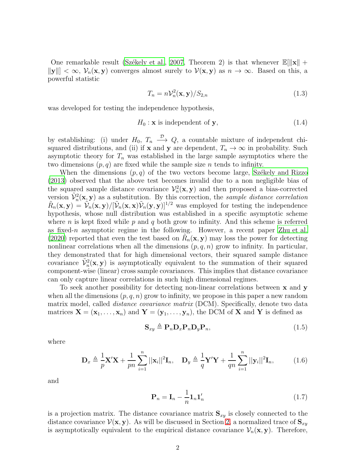One remarkable result (Székely et al., [2007,](#page-16-0) Theorem 2) is that whenever  $\mathbb{E}[\|\mathbf{x}\| +$  $||y|| < \infty$ ,  $V_n(x, y)$  converges almost surely to  $V(x, y)$  as  $n \to \infty$ . Based on this, a powerful statistic

<span id="page-1-2"></span><span id="page-1-1"></span>
$$
T_n = n\mathcal{V}_n^2(\mathbf{x}, \mathbf{y})/S_{2,n} \tag{1.3}
$$

was developed for testing the independence hypothesis,

$$
H_0: \mathbf{x} \text{ is independent of } \mathbf{y},\tag{1.4}
$$

by establishing: (i) under  $H_0, T_n \longrightarrow Q$ , a countable mixture of independent chisquared distributions, and (ii) if **x** and **y** are dependent,  $T_n \to \infty$  in probability. Such asymptotic theory for  $T_n$  was established in the large sample asymptotics where the two dimensions  $(p, q)$  are fixed while the sample size n tends to infinity.

When the dimensions  $(p, q)$  of the two vectors become large, Székely and Rizzo [\(2013\)](#page-16-1) observed that the above test becomes invalid due to a non negligible bias of the squared sample distance covariance  $\mathcal{V}_n^2(\mathbf{x}, \mathbf{y})$  and then proposed a bias-corrected version  $\tilde{\mathcal{V}}_n^2(\mathbf{x}, \mathbf{y})$  as a substitution. By this correction, the *sample distance correlation*  $\tilde{R}_n(\mathbf{x}, \mathbf{y}) = \tilde{\mathcal{V}}_n(\mathbf{x}, \mathbf{y})/[\tilde{\mathcal{V}}_n(\mathbf{x}, \mathbf{x})\tilde{\mathcal{V}}_n(\mathbf{y}, \mathbf{y})]^{1/2}$  was employed for testing the independence hypothesis, whose null distribution was established in a specific asymptotic scheme where n is kept fixed while p and q both grow to infinity. And this scheme is referred as fixed-n asymptotic regime in the following. However, a recent paper [Zhu et al.](#page-17-0) [\(2020\)](#page-17-0) reported that even the test based on  $\tilde{R}_n(\mathbf{x}, \mathbf{y})$  may loss the power for detecting nonlinear correlations when all the dimensions  $(p, q, n)$  grow to infinity. In particular, they demonstrated that for high dimensional vectors, their squared sample distance covariance  $\tilde{\mathcal{V}}_n^2(\mathbf{x}, \mathbf{y})$  is asymptotically equivalent to the summation of their squared component-wise (linear) cross sample covariances. This implies that distance covariance can only capture linear correlations in such high dimensional regimes.

To seek another possibility for detecting non-linear correlations between x and y when all the dimensions  $(p, q, n)$  grow to infinity, we propose in this paper a new random matrix model, called *distance covariance matrix* (DCM). Specifically, denote two data matrices  $X = (x_1, \ldots, x_n)$  and  $Y = (y_1, \ldots, y_n)$ , the DCM of X and Y is defined as

<span id="page-1-0"></span>
$$
\mathbf{S}_{xy} \triangleq \mathbf{P}_n \mathbf{D}_x \mathbf{P}_n \mathbf{D}_y \mathbf{P}_n, \tag{1.5}
$$

where

$$
\mathbf{D}_x \triangleq \frac{1}{p} \mathbf{X}' \mathbf{X} + \frac{1}{pn} \sum_{i=1}^n ||\mathbf{x}_i||^2 \mathbf{I}_n, \quad \mathbf{D}_y \triangleq \frac{1}{q} \mathbf{Y}' \mathbf{Y} + \frac{1}{qn} \sum_{i=1}^n ||\mathbf{y}_i||^2 \mathbf{I}_n, \tag{1.6}
$$

and

<span id="page-1-3"></span>
$$
\mathbf{P}_n = \mathbf{I}_n - \frac{1}{n} \mathbf{1}_n \mathbf{1}'_n \tag{1.7}
$$

is a projection matrix. The distance covariance matrix  $S_{xy}$  is closely connected to the distance covariance  $\mathcal{V}(\mathbf{x}, \mathbf{y})$ . As will be discussed in Section [2,](#page-3-0) a normalized trace of  $\mathbf{S}_{xy}$ is asymptotically equivalent to the empirical distance covariance  $\mathcal{V}_n(\mathbf{x}, \mathbf{y})$ . Therefore,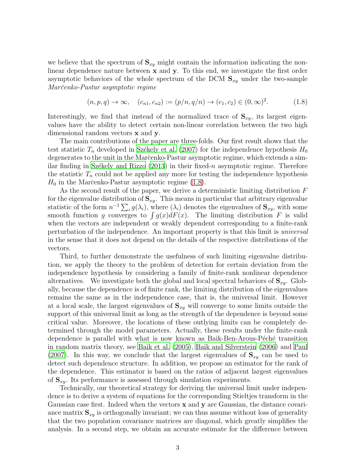we believe that the spectrum of  $S_{xy}$  might contain the information indicating the nonlinear dependence nature between  $x$  and  $y$ . To this end, we investigate the first order asymptotic behaviors of the whole spectrum of the DCM  $S_{xy}$  under the two-sample Marčenko-Pastur asymptotic regime

<span id="page-2-0"></span>
$$
(n, p, q) \to \infty, \quad (c_{n1}, c_{n2}) := (p/n, q/n) \to (c_1, c_2) \in (0, \infty)^2.
$$
 (1.8)

Interestingly, we find that instead of the normalized trace of  $S_{xy}$ , its largest eigenvalues have the ability to detect certain non-linear correlation between the two high dimensional random vectors x and y.

The main contributions of the paper are three-folds. Our first result shows that the test statistic  $T_n$  developed in Székely et al. (2007) for the independence hypothesis  $H_0$ degenerates to the unit in the Marc̆enko-Pastur asymptotic regime, which extends a similar finding in Székely and Rizzo  $(2013)$  in their fixed-n asymptotic regime. Therefore the statistic  $T_n$  could not be applied any more for testing the independence hypothesis  $H_0$  in the Marc̆enko-Pastur asymptotic regime [\(1.8\)](#page-2-0).

As the second result of the paper, we derive a deterministic limiting distribution F for the eigenvalue distribution of  $S_{xy}$ . This means in particular that arbitrary eigenvalue statistic of the form  $n^{-1} \sum_i g(\lambda_i)$ , where  $(\lambda_i)$  denotes the eigenvalues of  $\mathbf{S}_{xy}$ , with some smooth function g converges to  $\int g(x)dF(x)$ . The limiting distribution F is valid when the vectors are independent or weakly dependent corresponding to a finite-rank perturbation of the independence. An important property is that this limit is universal in the sense that it does not depend on the details of the respective distributions of the vectors.

Third, to further demonstrate the usefulness of such limiting eigenvalue distribution, we apply the theory to the problem of detection for certain deviation from the independence hypothesis by considering a family of finite-rank nonlinear dependence alternatives. We investigate both the global and local spectral behaviors of  $S_{xy}$ . Globally, because the dependence is of finite rank, the limiting distribution of the eigenvalues remains the same as in the independence case, that is, the universal limit. However at a local scale, the largest eigenvalues of  $S_{xy}$  will converge to some limits outside the support of this universal limit as long as the strength of the dependence is beyond some critical value. Moreover, the locations of these outlying limits can be completely determined through the model parameters. Actually, these results under the finite-rank dependence is parallel with what is now known as Baik-Ben-Arous-Péché transition in random matrix theory, see [Baik et al. \(2005](#page-16-2)), [Baik and Silverstein \(2006](#page-16-3)) and [Paul](#page-16-4) [\(2007\)](#page-16-4). In this way, we conclude that the largest eigenvalues of  $S_{xy}$  can be used to detect such dependence structure. In addition, we propose an estimator for the rank of the dependence. This estimator is based on the ratios of adjacent largest eigenvalues of  $S_{xy}$ . Its performance is assessed through simulation experiments.

Technically, our theoretical strategy for deriving the universal limit under independence is to derive a system of equations for the corresponding Stieltjes transform in the Gaussian case first. Indeed when the vectors  $x$  and  $y$  are Gaussian, the distance covariance matrix  $S_{xy}$  is orthogonally invariant; we can thus assume without loss of generality that the two population covariance matrices are diagonal, which greatly simplifies the analysis. In a second step, we obtain an accurate estimate for the difference between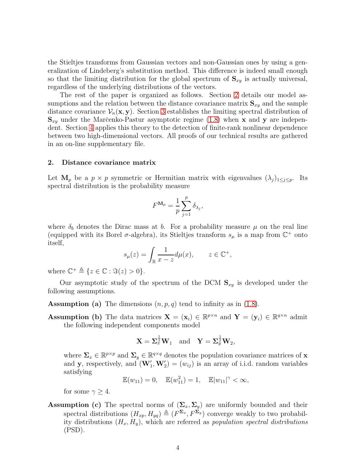the Stieltjes transforms from Gaussian vectors and non-Gaussian ones by using a generalization of Lindeberg's substitution method. This difference is indeed small enough so that the limiting distribution for the global spectrum of  $S_{xy}$  is actually universal, regardless of the underlying distributions of the vectors.

The rest of the paper is organized as follows. Section [2](#page-3-0) details our model assumptions and the relation between the distance covariance matrix  $S_{xy}$  and the sample distance covariance  $V_n(\mathbf{x}, \mathbf{y})$ . Section [3](#page-4-0) establishes the limiting spectral distribution of  $S_{xy}$  under the Marc̆enko-Pastur asymptotic regime [\(1.8\)](#page-2-0) when x and y are independent. Section [4](#page-7-0) applies this theory to the detection of finite-rank nonlinear dependence between two high-dimensional vectors. All proofs of our technical results are gathered in an on-line supplementary file.

### <span id="page-3-0"></span>2. Distance covariance matrix

Let  $\mathbf{M}_p$  be a  $p \times p$  symmetric or Hermitian matrix with eigenvalues  $(\lambda_j)_{1 \leq j \leq p}$ . Its spectral distribution is the probability measure

$$
F^{\mathbf{M}_p} = \frac{1}{p} \sum_{j=1}^p \delta_{\lambda_j},
$$

where  $\delta_b$  denotes the Dirac mass at b. For a probability measure  $\mu$  on the real line (equipped with its Borel  $\sigma$ -algebra), its Stieltjes transform  $s_\mu$  is a map from  $\mathbb{C}^+$  onto itself,

$$
s_{\mu}(z) = \int_{\mathbb{R}} \frac{1}{x - z} d\mu(x), \qquad z \in \mathbb{C}^{+},
$$

where  $\mathbb{C}^+ \triangleq \{z \in \mathbb{C} : \Im(z) > 0\}.$ 

Our asymptotic study of the spectrum of the DCM  $S_{xy}$  is developed under the following assumptions.

**Assumption (a)** The dimensions  $(n, p, q)$  tend to infinity as in  $(1.8)$ .

Assumption (b) The data matrices  $\mathbf{X} = (\mathbf{x}_i) \in \mathbb{R}^{p \times n}$  and  $\mathbf{Y} = (\mathbf{y}_i) \in \mathbb{R}^{q \times n}$  admit the following independent components model

$$
\mathbf{X} = \Sigma_x^{\frac{1}{2}} \mathbf{W}_1
$$
 and  $\mathbf{Y} = \Sigma_y^{\frac{1}{2}} \mathbf{W}_2$ ,

where  $\Sigma_x \in \mathbb{R}^{p \times p}$  and  $\Sigma_y \in \mathbb{R}^{q \times q}$  denotes the population covariance matrices of **x** and **y**, respectively, and  $(\mathbf{W}'_1, \mathbf{W}'_2) = (w_{ij})$  is an array of i.i.d. random variables satisfying

 $\mathbb{E}(w_{11}) = 0, \quad \mathbb{E}(w_{11}^2) = 1, \quad \mathbb{E}|w_{11}|^{\gamma} < \infty,$ 

for some  $\gamma > 4$ .

# Assumption (c) The spectral norms of  $(\Sigma_x, \Sigma_y)$  are uniformly bounded and their spectral distributions  $(H_{xp}, H_{yq}) \triangleq (F^{\Sigma_x}, F^{\Sigma_y})$  converge weakly to two probability distributions  $(H_x, H_y)$ , which are referred as *population spectral distributions* (PSD).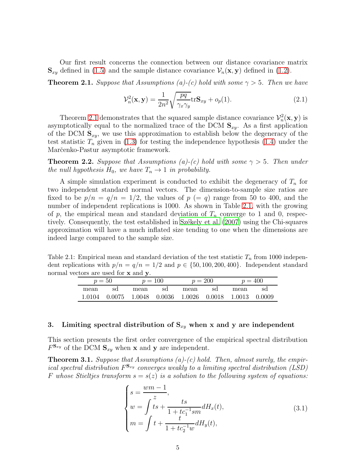Our first result concerns the connection between our distance covariance matrix  $\mathbf{S}_{xy}$  defined in [\(1.5\)](#page-1-0) and the sample distance covariance  $\mathcal{V}_n(\mathbf{x}, \mathbf{y})$  defined in [\(1.2\)](#page-0-0).

<span id="page-4-1"></span>**Theorem 2.1.** Suppose that Assumptions (a)-(c) hold with some  $\gamma > 5$ . Then we have

$$
\mathcal{V}_n^2(\mathbf{x}, \mathbf{y}) = \frac{1}{2n^2} \sqrt{\frac{pq}{\gamma_x \gamma_y}} \text{tr} \mathbf{S}_{xy} + o_p(1). \tag{2.1}
$$

Theorem [2.1](#page-4-1) demonstrates that the squared sample distance covariance  $\mathcal{V}_n^2(\mathbf{x}, \mathbf{y})$  is asymptotically equal to the normalized trace of the DCM  $S_{xy}$ . As a first application of the DCM  $S_{xy}$ , we use this approximation to establish below the degeneracy of the test statistic  $T_n$  given in [\(1.3\)](#page-1-1) for testing the independence hypothesis [\(1.4\)](#page-1-2) under the Marčenko-Pastur asymptotic framework.

<span id="page-4-5"></span>**Theorem 2.2.** Suppose that Assumptions (a)-(c) hold with some  $\gamma > 5$ . Then under the null hypothesis  $H_0$ , we have  $T_n \to 1$  in probability.

A simple simulation experiment is conducted to exhibit the degeneracy of  $T_n$  for two independent standard normal vectors. The dimension-to-sample size ratios are fixed to be  $p/n = q/n = 1/2$ , the values of  $p (= q)$  range from 50 to 400, and the number of independent replications is 1000. As shown in Table [2.1,](#page-4-2) with the growing of p, the empirical mean and standard deviation of  $T_n$  converge to 1 and 0, respectively. Consequently, the test established in Székely et al. (2007) using the Chi-squares approximation will have a much inflated size tending to one when the dimensions are indeed large compared to the sample size.

Table 2.1: Empirical mean and standard deviation of the test statistic  $T_n$  from 1000 independent replications with  $p/n = q/n = 1/2$  and  $p \in \{50, 100, 200, 400\}$ . Independent standard normal vectors are used for **x** and **y**.

<span id="page-4-2"></span>

| $p=50$ |    | $p = 100$ |      | $p = 200$ |                                                                         | $p = 400$ |    |
|--------|----|-----------|------|-----------|-------------------------------------------------------------------------|-----------|----|
| mean   | sd | mean      | sd s | mean      | sd                                                                      | mean      | sd |
|        |    |           |      |           | $1.0104$ $0.0075$ $1.0048$ $0.0036$ $1.0026$ $0.0018$ $1.0013$ $0.0009$ |           |    |

### <span id="page-4-0"></span>3. Limiting spectral distribution of  $S_{xy}$  when x and y are independent

This section presents the first order convergence of the empirical spectral distribution  $F^{\mathbf{S}_{xy}}$  of the DCM  $\mathbf{S}_{xy}$  when **x** and **y** are independent.

<span id="page-4-4"></span>**Theorem 3.1.** Suppose that Assumptions (a)-(c) hold. Then, almost surely, the empirical spectral distribution  $F^{\mathbf{S}_{xy}}$  converges weakly to a limiting spectral distribution (LSD) F whose Stieltjes transform  $s = s(z)$  is a solution to the following system of equations:

<span id="page-4-3"></span>
$$
\begin{cases}\ns = \frac{wm - 1}{z}, \\
w = \int ts + \frac{ts}{1 + tc_1^{-1}sm} dH_x(t), \\
m = \int t + \frac{t}{1 + tc_2^{-1}w} dH_y(t),\n\end{cases} \tag{3.1}
$$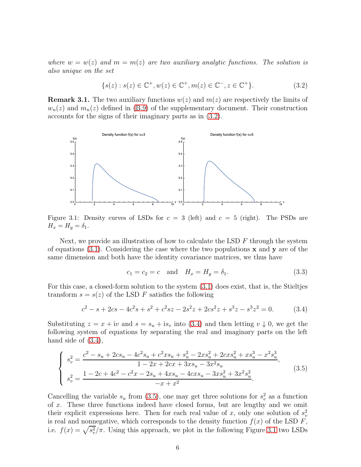where  $w = w(z)$  and  $m = m(z)$  are two auxiliary analytic functions. The solution is also unique on the set

<span id="page-5-0"></span>
$$
\{s(z) : s(z) \in \mathbb{C}^+, w(z) \in \mathbb{C}^+, m(z) \in \mathbb{C}^-, z \in \mathbb{C}^+\}.
$$
\n(3.2)

**Remark 3.1.** The two auxiliary functions  $w(z)$  and  $m(z)$  are respectively the limits of  $w_n(z)$  and  $m_n(z)$  defined in [\(B.9\)](#page-25-0) of the supplementary document. Their construction accounts for the signs of their imaginary parts as in [\(3.2\)](#page-5-0).



<span id="page-5-3"></span>Figure 3.1: Density curves of LSDs for  $c = 3$  (left) and  $c = 5$  (right). The PSDs are  $H_x = H_y = \delta_1.$ 

Next, we provide an illustration of how to calculate the LSD  $F$  through the system of equations  $(3.1)$ . Considering the case where the two populations x and y are of the same dimension and both have the identity covariance matrices, we thus have

<span id="page-5-4"></span><span id="page-5-2"></span><span id="page-5-1"></span>
$$
c_1 = c_2 = c
$$
 and  $H_x = H_y = \delta_1.$  (3.3)

For this case, a closed-form solution to the system [\(3.1\)](#page-4-3) does exist, that is, the Stieltjes transform  $s = s(z)$  of the LSD F satisfies the following

$$
c2 - s + 2cs - 4c2s + s2 + c2sz - 2s2z + 2cs2z + s3z - s3z2 = 0.
$$
 (3.4)

Substituting  $z = x + iv$  and  $s = s<sub>u</sub> + is<sub>v</sub>$  into [\(3.4\)](#page-5-1) and then letting  $v \downarrow 0$ , we get the following system of equations by separating the real and imaginary parts on the left hand side of  $(3.4)$ ,

$$
\begin{cases}\ns_v^2 = \frac{c^2 - s_u + 2cs_u - 4c^2s_u + c^2xs_u + s_u^2 - 2xs_u^2 + 2cx_s^2 + xs_u^3 - x^2s_u^3}{1 - 2x + 2cx + 3xs_u - 3x^2s_u},\\ \ns_v^2 = \frac{1 - 2c + 4c^2 - c^2x - 2s_u + 4xs_u - 4cx_s_u - 3xs_u^2 + 3x^2s_u^2}{-x + x^2}.\n\end{cases} (3.5)
$$

Cancelling the variable  $s_u$  from [\(3.5\)](#page-5-2), one may get three solutions for  $s_v^2$  as a function of x. These three functions indeed have closed forms, but are lengthy and we omit their explicit expressions here. Then for each real value of x, only one solution of  $s_v^2$ is real and nonnegative, which corresponds to the density function  $f(x)$  of the LSD  $F$ , i.e.  $f(x) = \sqrt{s_v^2}/\pi$ . Using this approach, we plot in the following Figure [3.1](#page-5-3) two LSDs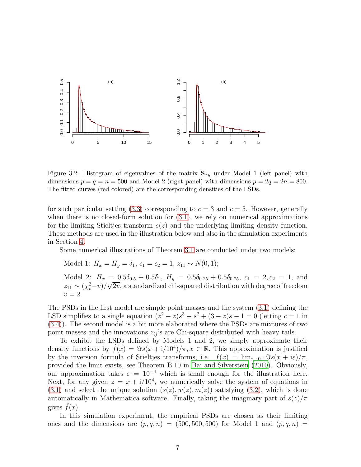

<span id="page-6-0"></span>Figure 3.2: Histogram of eigenvalues of the matrix  $S_{xy}$  under Model 1 (left panel) with dimensions  $p = q = n = 500$  and Model 2 (right panel) with dimensions  $p = 2q = 2n = 800$ . The fitted curves (red colored) are the corresponding densities of the LSDs.

for such particular setting [\(3.3\)](#page-5-4) corresponding to  $c = 3$  and  $c = 5$ . However, generally when there is no closed-form solution for  $(3.1)$ , we rely on numerical approximations for the limiting Stieltjes transform  $s(z)$  and the underlying limiting density function. These methods are used in the illustration below and also in the simulation experiments in Section [4.](#page-7-0)

Some numerical illustrations of Theorem [3.1](#page-4-4) are conducted under two models:

Model 1:  $H_x = H_y = \delta_1, c_1 = c_2 = 1, z_{11} \sim N(0, 1);$ 

Model 2:  $H_x = 0.5\delta_{0.5} + 0.5\delta_1$ ,  $H_y = 0.5\delta_{0.25} + 0.5\delta_{0.75}$ ,  $c_1 = 2, c_2 = 1$ , and  $z_{11} \sim (\chi_v^2 - v)/\sqrt{2v}$ , a standardized chi-squared distribution with degree of freedom  $v=2.$ 

The PSDs in the first model are simple point masses and the system [\(3.1\)](#page-4-3) defining the LSD simplifies to a single equation  $(z^2 - z)s^3 - s^2 + (3 - z)s - 1 = 0$  (letting  $c = 1$  in [\(3.4\)](#page-5-1)). The second model is a bit more elaborated where the PSDs are mixtures of two point masses and the innovations  $z_{ij}$ 's are Chi-square distributed with heavy tails.

To exhibit the LSDs defined by Models 1 and 2, we simply approximate their density functions by  $\hat{f}(x) = \Im s(x + i/10^4)/\pi, x \in \mathbb{R}$ . This approximation is justified by the inversion formula of Stieltjes transforms, i.e.  $f(x) = \lim_{\epsilon \to 0^+} \Im s(x + i\epsilon)/\pi$ , provided the limit exists, see Theorem B.10 in [Bai and Silverstein \(2010\)](#page-41-0). Obviously, our approximation takes  $\varepsilon = 10^{-4}$  which is small enough for the illustration here. Next, for any given  $z = x + i/10^4$ , we numerically solve the system of equations in  $(3.1)$  and select the unique solution  $(s(z), w(z), m(z))$  satisfying  $(3.2)$ , which is done automatically in Mathematica software. Finally, taking the imaginary part of  $s(z)/\pi$ gives  $f(x)$ .

In this simulation experiment, the empirical PSDs are chosen as their limiting ones and the dimensions are  $(p, q, n) = (500, 500, 500)$  for Model 1 and  $(p, q, n) =$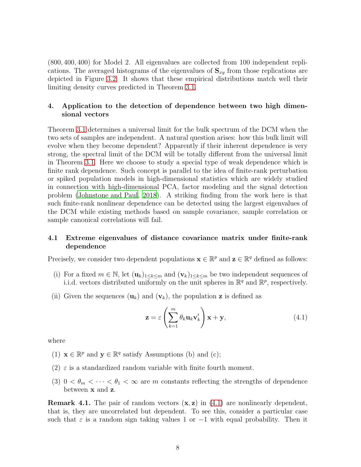(800, 400, 400) for Model 2. All eigenvalues are collected from 100 independent replications. The averaged histograms of the eigenvalues of  $S_{xy}$  from those replications are depicted in Figure [3.2.](#page-6-0) It shows that these empirical distributions match well their limiting density curves predicted in Theorem [3.1.](#page-4-4)

## <span id="page-7-0"></span>4. Application to the detection of dependence between two high dimensional vectors

Theorem [3.1](#page-4-4) determines a universal limit for the bulk spectrum of the DCM when the two sets of samples are independent. A natural question arises: how this bulk limit will evolve when they become dependent? Apparently if their inherent dependence is very strong, the spectral limit of the DCM will be totally different from the universal limit in Theorem [3.1.](#page-4-4) Here we choose to study a special type of weak dependence which is finite rank dependence. Such concept is parallel to the idea of finite-rank perturbation or spiked population models in high-dimensional statistics which are widely studied in connection with high-dimensional PCA, factor modeling and the signal detection problem [\(Johnstone and Paul, 2018\)](#page-16-5). A striking finding from the work here is that such finite-rank nonlinear dependence can be detected using the largest eigenvalues of the DCM while existing methods based on sample covariance, sample correlation or sample canonical correlations will fail.

## 4.1 Extreme eigenvalues of distance covariance matrix under finite-rank dependence

Precisely, we consider two dependent populations  $\mathbf{x} \in \mathbb{R}^p$  and  $\mathbf{z} \in \mathbb{R}^q$  defined as follows:

- (i) For a fixed  $m \in \mathbb{N}$ , let  $(\mathbf{u}_k)_{1 \leq k \leq m}$  and  $(\mathbf{v}_k)_{1 \leq k \leq m}$  be two independent sequences of i.i.d. vectors distributed uniformly on the unit spheres in  $\mathbb{R}^q$  and  $\mathbb{R}^p$ , respectively.
- (ii) Given the sequences  $(\mathbf{u}_k)$  and  $(\mathbf{v}_k)$ , the population **z** is defined as

<span id="page-7-1"></span>
$$
\mathbf{z} = \varepsilon \left( \sum_{k=1}^{m} \theta_k \mathbf{u}_k \mathbf{v}'_k \right) \mathbf{x} + \mathbf{y}, \qquad (4.1)
$$

where

- (1)  $\mathbf{x} \in \mathbb{R}^p$  and  $\mathbf{y} \in \mathbb{R}^q$  satisfy Assumptions (b) and (c);
- (2)  $\varepsilon$  is a standardized random variable with finite fourth moment.
- (3)  $0 < \theta_m < \cdots < \theta_1 < \infty$  are m constants reflecting the strengths of dependence between x and z.

**Remark 4.1.** The pair of random vectors  $(x, z)$  in  $(4.1)$  are nonlinearly dependent, that is, they are uncorrelated but dependent. To see this, consider a particular case such that  $\varepsilon$  is a random sign taking values 1 or  $-1$  with equal probability. Then it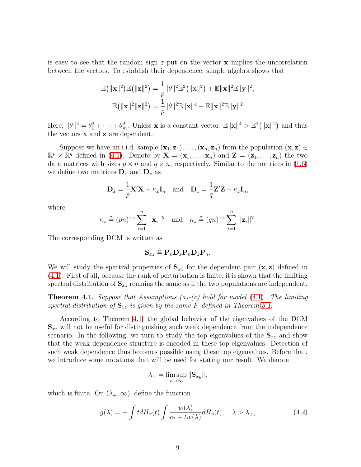is easy to see that the random sign  $\varepsilon$  put on the vector **x** implies the uncorrelation between the vectors. To establish their dependence, simple algebra shows that

$$
\mathbb{E}(|\mathbf{x}||^2)\mathbb{E}(|\mathbf{z}||^2) = \frac{1}{p}||\theta||^2\mathbb{E}^2(|\mathbf{x}||^2) + \mathbb{E}||\mathbf{x}||^2\mathbb{E}||\mathbf{y}||^2,
$$
  

$$
\mathbb{E}(|\mathbf{x}||^2||\mathbf{z}||^2) = \frac{1}{p}||\theta||^2\mathbb{E}||\mathbf{x}||^4 + \mathbb{E}||\mathbf{x}||^2\mathbb{E}||\mathbf{y}||^2.
$$

Here,  $\|\theta\|^2 = \theta_1^2 + \cdots + \theta_m^2$ . Unless **x** is a constant vector,  $\mathbb{E} \|\mathbf{x}\|^4 > \mathbb{E}^2 (\|\mathbf{x}\|^2)$  and thus the vectors x and z are dependent.

Suppose we have an i.i.d. sample  $(\mathbf{x}_1, \mathbf{z}_1), \ldots, (\mathbf{x}_n, \mathbf{z}_n)$  from the population  $(\mathbf{x}, \mathbf{z}) \in$  $\mathbb{R}^p \times \mathbb{R}^q$  defined in [\(4.1\)](#page-7-1). Denote by  $\mathbf{X} = (\mathbf{x}_1, \ldots, \mathbf{x}_n)$  and  $\mathbf{Z} = (\mathbf{z}_1, \ldots, \mathbf{z}_n)$  the two data matrices with sizes  $p \times n$  and  $q \times n$ , respectively. Similar to the matrices in [\(1.6\)](#page-1-3) we define two matrices  $\mathbf{D}_x$  and  $\mathbf{D}_z$  as

$$
\mathbf{D}_x = \frac{1}{p} \mathbf{X}' \mathbf{X} + \kappa_x \mathbf{I}_n \quad \text{and} \quad \mathbf{D}_z = \frac{1}{q} \mathbf{Z}' \mathbf{Z} + \kappa_z \mathbf{I}_n,
$$

where

$$
\kappa_x \triangleq (pn)^{-1} \sum_{i=1}^n ||\mathbf{x}_i||^2 \text{ and } \kappa_z \triangleq (qn)^{-1} \sum_{i=1}^n ||\mathbf{z}_i||^2.
$$

The corresponding DCM is written as

$$
\mathbf{S}_{xz} \triangleq \mathbf{P}_n \mathbf{D}_x \mathbf{P}_n \mathbf{D}_z \mathbf{P}_n.
$$

We will study the spectral properties of  $S_{xz}$  for the dependent pair  $(x, z)$  defined in [\(4.1\)](#page-7-1). First of all, because the rank of perturbation is finite, it is shown that the limiting spectral distribution of  $S_{xz}$  remains the same as if the two populations are independent.

<span id="page-8-0"></span>**Theorem 4.1.** Suppose that Assumptions (a)-(c) hold for model [\(4.1\)](#page-7-1). The limiting spectral distribution of  $S_{xz}$  is given by the same F defined in Theorem [3.1.](#page-4-4)

According to Theorem [4.1,](#page-8-0) the global behavior of the eigenvalues of the DCM  $S_{xz}$  will not be useful for distinguishing such weak dependence from the independence scenario. In the following, we turn to study the top eigenvalues of the  $S_{xz}$  and show that the weak dependence structure is encoded in these top eigenvalues. Detection of such weak dependence thus becomes possible using these top eigenvalues. Before that, we introduce some notations that will be used for stating our result. We denote

<span id="page-8-1"></span>
$$
\lambda_+ = \limsup_{n \to \infty} \|\mathbf{S}_{xy}\|,
$$

which is finite. On  $(\lambda_+, \infty)$ , define the function

$$
g(\lambda) = -\int t dH_x(t) \int \frac{w(\lambda)}{c_2 + tw(\lambda)} dH_y(t), \quad \lambda > \lambda_+, \tag{4.2}
$$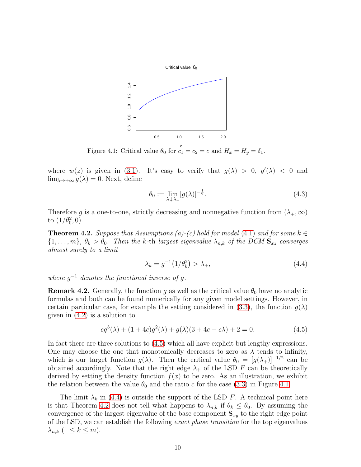

<span id="page-9-1"></span>Figure 4.1: Critical value  $\theta_0$  for  $c_1 = c_2 = c$  and  $H_x = H_y = \delta_1$ .

where  $w(z)$  is given in [\(3.1\)](#page-4-4). It's easy to verify that  $g(\lambda) > 0$ ,  $g'(\lambda) < 0$  and  $\lim_{\lambda \to +\infty} g(\lambda) = 0$ . Next, define

<span id="page-9-4"></span>
$$
\theta_0 := \lim_{\lambda \downarrow \lambda_+} [g(\lambda)]^{-\frac{1}{2}}.
$$
\n(4.3)

Therefore g is a one-to-one, strictly decreasing and nonnegative function from  $(\lambda_+, \infty)$ to  $(1/\theta_0^2, 0)$ .

<span id="page-9-3"></span>**Theorem 4.2.** Suppose that Assumptions (a)-(c) hold for model [\(4.1\)](#page-7-1) and for some  $k \in$  $\{1,\ldots,m\},\ \theta_k > \theta_0$ . Then the k-th largest eigenvalue  $\lambda_{n,k}$  of the DCM  $\mathbf{S}_{xz}$  converges almost surely to a limit

<span id="page-9-2"></span><span id="page-9-0"></span>
$$
\lambda_k = g^{-1} \left( 1/\theta_k^2 \right) > \lambda_+, \tag{4.4}
$$

where  $g^{-1}$  denotes the functional inverse of g.

**Remark 4.2.** Generally, the function g as well as the critical value  $\theta_0$  have no analytic formulas and both can be found numerically for any given model settings. However, in certain particular case, for example the setting considered in [\(3.3\)](#page-5-4), the function  $g(\lambda)$ given in  $(4.2)$  is a solution to

$$
cg^{3}(\lambda) + (1+4c)g^{2}(\lambda) + g(\lambda)(3+4c-c\lambda) + 2 = 0.
$$
 (4.5)

In fact there are three solutions to [\(4.5\)](#page-9-0) which all have explicit but lengthy expressions. One may choose the one that monotonically decreases to zero as  $\lambda$  tends to infinity, which is our target function  $g(\lambda)$ . Then the critical value  $\theta_0 = [g(\lambda_+)]^{-1/2}$  can be obtained accordingly. Note that the right edge  $\lambda_+$  of the LSD F can be theoretically derived by setting the density function  $f(x)$  to be zero. As an illustration, we exhibit the relation between the value  $\theta_0$  and the ratio c for the case [\(3.3\)](#page-5-4) in Figure [4.1.](#page-9-1)

The limit  $\lambda_k$  in [\(4.4\)](#page-9-2) is outside the support of the LSD F. A technical point here is that Theorem [4.2](#page-9-3) does not tell what happens to  $\lambda_{n,k}$  if  $\theta_k \leq \theta_0$ . By assuming the convergence of the largest eigenvalue of the base component  $S_{xy}$  to the right edge point of the LSD, we can establish the following exact phase transition for the top eigenvalues  $\lambda_{n,k}$   $(1 \leq k \leq m)$ .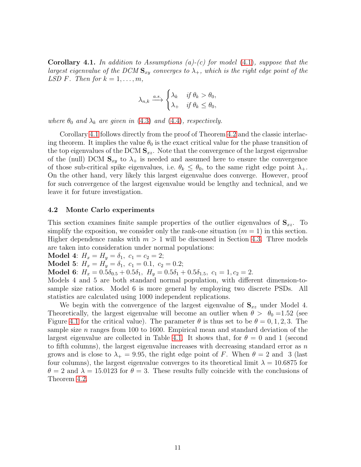<span id="page-10-0"></span>**Corollary 4.1.** In addition to Assumptions (a)-(c) for model [\(4.1\)](#page-7-1), suppose that the largest eigenvalue of the DCM  $S_{xy}$  converges to  $\lambda_{+}$ , which is the right edge point of the LSD F. Then for  $k = 1, \ldots, m$ ,

$$
\lambda_{n,k} \xrightarrow{a.s.} \begin{cases} \lambda_k & \text{if } \theta_k > \theta_0, \\ \lambda_+ & \text{if } \theta_k \leq \theta_0, \end{cases}
$$

where  $\theta_0$  and  $\lambda_k$  are given in [\(4.3\)](#page-9-4) and [\(4.4\)](#page-9-2), respectively.

Corollary [4.1](#page-10-0) follows directly from the proof of Theorem [4.2](#page-9-3) and the classic interlacing theorem. It implies the value  $\theta_0$  is the exact critical value for the phase transition of the top eigenvalues of the DCM  $S_{xz}$ . Note that the convergence of the largest eigenvalue of the (null) DCM  $S_{xy}$  to  $\lambda_+$  is needed and assumed here to ensure the convergence of those sub-critical spike eigenvalues, i.e.  $\theta_k \leq \theta_0$ , to the same right edge point  $\lambda_+$ . On the other hand, very likely this largest eigenvalue does converge. However, proof for such convergence of the largest eigenvalue would be lengthy and technical, and we leave it for future investigation.

### 4.2 Monte Carlo experiments

This section examines finite sample properties of the outlier eigenvalues of  $S_{xz}$ . To simplify the exposition, we consider only the rank-one situation  $(m = 1)$  in this section. Higher dependence ranks with  $m > 1$  will be discussed in Section [4.3.](#page-12-0) Three models are taken into consideration under normal populations:

Model 4:  $H_x = H_y = \delta_1, c_1 = c_2 = 2;$ 

Model 5:  $H_x = H_y = \delta_1, c_1 = 0.1, c_2 = 0.2;$ 

Model 6:  $H_x = 0.5\delta_{0.5} + 0.5\delta_1$ ,  $H_y = 0.5\delta_1 + 0.5\delta_{1.5}$ ,  $c_1 = 1$ ,  $c_2 = 2$ .

Models 4 and 5 are both standard normal population, with different dimension-tosample size ratios. Model 6 is more general by employing two discrete PSDs. All statistics are calculated using 1000 independent replications.

We begin with the convergence of the largest eigenvalue of  $S_{xz}$  under Model 4. Theoretically, the largest eigenvalue will become an outlier when  $\theta > \theta_0 = 1.52$  (see Figure [4.1](#page-9-1) for the critical value). The parameter  $\theta$  is thus set to be  $\theta = 0, 1, 2, 3$ . The sample size  $n$  ranges from 100 to 1600. Empirical mean and standard deviation of the largest eigenvalue are collected in Table [4.1.](#page-11-0) It shows that, for  $\theta = 0$  and 1 (second to fifth columns), the largest eigenvalue increases with decreasing standard error as  $n$ grows and is close to  $\lambda_+ = 9.95$ , the right edge point of F. When  $\theta = 2$  and 3 (last four columns), the largest eigenvalue converges to its theoretical limit  $\lambda = 10.6875$  for  $\theta = 2$  and  $\lambda = 15.0123$  for  $\theta = 3$ . These results fully coincide with the conclusions of Theorem [4.2.](#page-9-3)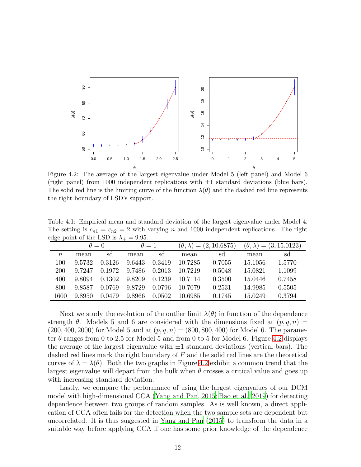

<span id="page-11-1"></span>Figure 4.2: The average of the largest eigenvalue under Model 5 (left panel) and Model 6 (right panel) from 1000 independent replications with  $\pm 1$  standard deviations (blue bars). The solid red line is the limiting curve of the function  $\lambda(\theta)$  and the dashed red line represents the right boundary of LSD's support.

<span id="page-11-0"></span>Table 4.1: Empirical mean and standard deviation of the largest eigenvalue under Model 4. The setting is  $c_{n1} = c_{n2} = 2$  with varying n and 1000 independent replications. The right edge point of the LSD is  $\lambda_+ = 9.95$ .

|        | $\theta = 0$ |        | $\theta = 1$ |        | $(\theta, \lambda) = (2, 10.6875)$ |        | $(\theta, \lambda) = (3, 15.0123)$ |        |
|--------|--------------|--------|--------------|--------|------------------------------------|--------|------------------------------------|--------|
| $\, n$ | mean         | sd     | mean         | sd     | mean                               | sd     | mean                               | sd     |
| 100    | 9.5732       | 0.3126 | 9.6443       | 0.3419 | 10.7285                            | 0.7055 | 15.1056                            | 1.5770 |
| 200    | 9.7247       | 0.1972 | 9.7486       | 0.2013 | 10.7219                            | 0.5048 | 15.0821                            | 1.1099 |
| 400    | 9.8094       | 0.1302 | 9.8209       | 0.1239 | 10.7114                            | 0.3500 | 15.0446                            | 0.7458 |
| 800    | 9.8587       | 0.0769 | 9.8729       | 0.0796 | 10.7079                            | 0.2531 | 14.9985                            | 0.5505 |
| 1600   | 9.8950       | 0.0479 | 9.8966       | 0.0502 | 10.6985                            | 0.1745 | 15.0249                            | 0.3794 |

Next we study the evolution of the outlier limit  $\lambda(\theta)$  in function of the dependence strength  $\theta$ . Models 5 and 6 are considered with the dimensions fixed at  $(p, q, n)$  $(200, 400, 2000)$  for Model 5 and at  $(p, q, n) = (800, 800, 400)$  for Model 6. The parameter  $\theta$  ranges from 0 to 2.5 for Model 5 and from 0 to 5 for Model 6. Figure [4.2](#page-11-1) displays the average of the largest eigenvalue with  $\pm 1$  standard deviations (vertical bars). The dashed red lines mark the right boundary of  $F$  and the solid red lines are the theoretical curves of  $\lambda = \lambda(\theta)$ . Both the two graphs in Figure [4.2](#page-11-1) exhibit a common trend that the largest eigenvalue will depart from the bulk when  $\theta$  crosses a critical value and goes up with increasing standard deviation.

Lastly, we compare the performance of using the largest eigenvalues of our DCM model with high-dimensional CCA [\(Yang and Pan, 2015](#page-16-6); [Bao et al.](#page-16-7), [2019\)](#page-16-7) for detecting dependence between two groups of random samples. As is well known, a direct application of CCA often fails for the detection when the two sample sets are dependent but uncorrelated. It is thus suggested in [Yang and Pan \(2015](#page-16-6)) to transform the data in a suitable way before applying CCA if one has some prior knowledge of the dependence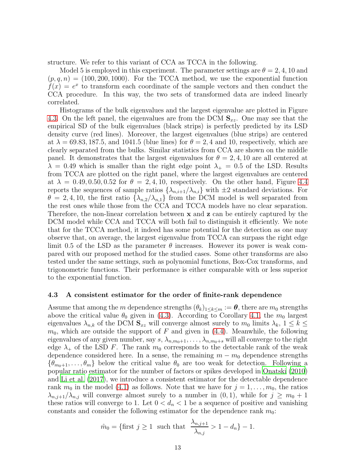structure. We refer to this variant of CCA as TCCA in the following.

Model 5 is employed in this experiment. The parameter settings are  $\theta = 2, 4, 10$  and  $(p, q, n) = (100, 200, 1000)$ . For the TCCA method, we use the exponential function  $f(x) = e^x$  to transform each coordinate of the sample vectors and then conduct the CCA procedure. In this way, the two sets of transformed data are indeed linearly correlated.

Histograms of the bulk eigenvalues and the largest eigenvalue are plotted in Figure [4.3.](#page-13-0) On the left panel, the eigenvalues are from the DCM  $S_{xz}$ . One may see that the empirical SD of the bulk eigenvalues (black strips) is perfectly predicted by its LSD density curve (red lines). Moreover, the largest eigenvalues (blue strips) are centered at  $\lambda = 69.83, 187.5,$  and 1041.5 (blue lines) for  $\theta = 2, 4$  and 10, respectively, which are clearly separated from the bulks. Similar statistics from CCA are shown on the middle panel. It demonstrates that the largest eigenvalues for  $\theta = 2, 4, 10$  are all centered at  $\lambda = 0.49$  which is smaller than the right edge point  $\lambda_+ = 0.5$  of the LSD. Results from TCCA are plotted on the right panel, where the largest eigenvalues are centered at  $\lambda = 0.49, 0.50, 0.52$  for  $\theta = 2, 4, 10$ , respectively. On the other hand, Figure [4.4](#page-14-0) reports the sequences of sample ratios  $\{\lambda_{n,i+1}/\lambda_{n,i}\}\$  with  $\pm 2$  standard deviations. For  $\theta = 2, 4, 10$ , the first ratio  $\{\lambda_{n,2}/\lambda_{n,1}\}$  from the DCM model is well separated from the rest ones while those from the CCA and TCCA models have no clear separation. Therefore, the non-linear correlation between x and z can be entirely captured by the DCM model while CCA and TCCA will both fail to distinguish it efficiently. We note that for the TCCA method, it indeed has some potential for the detection as one may observe that, on average, the largest eigenvalue from TCCA can surpass the right edge limit 0.5 of the LSD as the parameter  $\theta$  increases. However its power is weak compared with our proposed method for the studied cases. Some other transforms are also tested under the same settings, such as polynomial functions, Box-Cox transforms, and trigonometric functions. Their performance is either comparable with or less superior to the exponential function.

### <span id="page-12-0"></span>4.3 A consistent estimator for the order of finite-rank dependence

Assume that among the m dependence strengths  $(\theta_k)_{1\leq k\leq m} := \theta$ , there are  $m_0$  strengths above the critical value  $\theta_0$  given in [\(4.3\)](#page-9-4). According to Corollary [4.1,](#page-10-0) the  $m_0$  largest eigenvalues  $\lambda_{n,k}$  of the DCM  $\mathbf{S}_{xz}$  will converge almost surely to  $m_0$  limits  $\lambda_k$ ,  $1 \leq k \leq$  $m_0$ , which are outside the support of F and given in [\(4.4\)](#page-9-2). Meanwhile, the following eigenvalues of any given number, say  $s, \lambda_{n,m_0+1}, \ldots, \lambda_{n,m_0+s}$  will all converge to the right edge  $\lambda_+$  of the LSD F. The rank  $m_0$  corresponds to the detectable rank of the weak dependence considered here. In a sense, the remaining  $m - m_0$  dependence strengths  ${\theta_{m0+1}, \ldots, \theta_m}$  below the critical value  $\theta_0$  are too weak for detection. Following a popular ratio estimator for the number of factors or spikes developed in [Onatski \(2010\)](#page-16-8) and [Li et al. \(2017](#page-16-9)), we introduce a consistent estimator for the detectable dependence rank  $m_0$  in the model [\(4.1\)](#page-7-1) as follows. Note that we have for  $j = 1, \ldots, m_0$ , the ratios  $\lambda_{n,j+1}/\lambda_{n,j}$  will converge almost surely to a number in  $(0,1)$ , while for  $j \geq m_0 + 1$ these ratios will converge to 1. Let  $0 < d_n < 1$  be a sequence of positive and vanishing constants and consider the following estimator for the dependence rank  $m_0$ :

$$
\hat{m}_0 = \{ \text{first } j \ge 1 \text{ such that } \frac{\lambda_{n,j+1}}{\lambda_{n,j}} > 1 - d_n \} - 1.
$$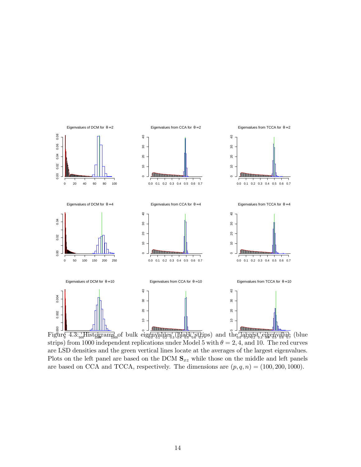

<span id="page-13-0"></span> $\text{Figur} \left( \frac{4.3 \cdot \text{mHist} \Omega}{\text{ggrain} \text{g}} \right)$  of bulk eigenvalues  $(\text{hlet} \text{gstr}, \text{gstr}, \text{gstr}, \text{hlet} \text{gstr}, \text{hlet} \text{gstr}, \text{hlet} \text{gstr}, \text{hlet} \text{gstr}, \text{hlet} \text{gstr}, \text{hlet} \text{gstr}, \text{hlet} \text{gstr}, \text{hlet} \text{gstr}, \text{hlet} \text{gstr}, \text{hlet} \text{gstr}, \text{hlet} \text{gstr$ strips) from 1000 independent replications under Model 5 with  $\theta = 2, 4$ , and 10. The red curves are LSD densities and the green vertical lines locate at the averages of the largest eigenvalues. Plots on the left panel are based on the DCM  $S_{xz}$  while those on the middle and left panels are based on CCA and TCCA, respectively. The dimensions are  $(p, q, n) = (100, 200, 1000)$ .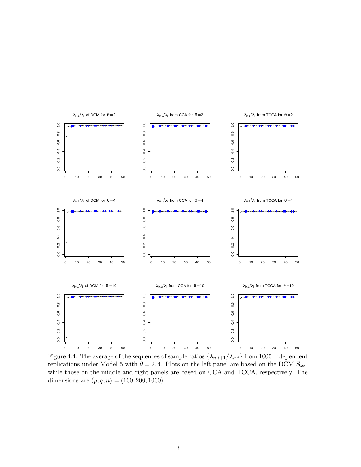

<span id="page-14-0"></span>Figure 4.4: The average of the sequences of sample ratios  $\{\lambda_{n,i+1}/\lambda_{n,i}\}$  from 1000 independent replications under Model 5 with  $\theta = 2, 4$ . Plots on the left panel are based on the DCM  $S_{xz}$ , while those on the middle and right panels are based on CCA and TCCA, respectively. The dimensions are  $(p, q, n) = (100, 200, 1000)$ .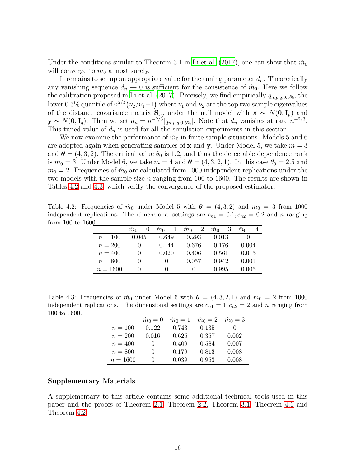Under the conditions similar to Theorem 3.1 in [Li et al. \(2017\)](#page-16-9), one can show that  $\hat{m}_0$ will converge to  $m_0$  almost surely.

It remains to set up an appropriate value for the tuning parameter  $d_n$ . Theoretically any vanishing sequence  $d_n \to 0$  is sufficient for the consistence of  $\hat{m}_0$ . Here we follow the calibration proposed in [Li et al. \(2017](#page-16-9)). Precisely, we find empirically  $q_{n,p,q,0.5\%}$ , the lower 0.5% quantile of  $n^{2/3}(\nu_2/\nu_1-1)$  where  $\nu_1$  and  $\nu_2$  are the top two sample eigenvalues of the distance covariance matrix  $S_{xy}$  under the null model with  $x \sim N(0, I_p)$  and  $\mathbf{y} \sim N(\mathbf{0}, \mathbf{I}_q)$ . Then we set  $d_n = n^{-2/3} |q_{n,p,q,0.5\%}|$ . Note that  $d_n$  vanishes at rate  $n^{-2/3}$ . This tuned value of  $d_n$  is used for all the simulation experiments in this section.

We now examine the performance of  $\hat{m}_0$  in finite sample situations. Models 5 and 6 are adopted again when generating samples of **x** and **y**. Under Model 5, we take  $m = 3$ and  $\boldsymbol{\theta} = (4, 3, 2)$ . The critical value  $\theta_0$  is 1.2, and thus the detectable dependence rank is  $m_0 = 3$ . Under Model 6, we take  $m = 4$  and  $\theta = (4, 3, 2, 1)$ . In this case  $\theta_0 = 2.5$  and  $m_0 = 2$ . Frequencies of  $\hat{m}_0$  are calculated from 1000 independent replications under the two models with the sample size n ranging from 100 to 1600. The results are shown in Tables [4.2](#page-15-0) and [4.3,](#page-15-1) which verify the convergence of the proposed estimator.

Table 4.2: Frequencies of  $\hat{m}_0$  under Model 5 with  $\theta = (4, 3, 2)$  and  $m_0 = 3$  from 1000 independent replications. The dimensional settings are  $c_{n1} = 0.1, c_{n2} = 0.2$  and n ranging from 100 to 1600.

<span id="page-15-0"></span>

| v.         | $\hat{m}_0 = 0$ |        | $\hat{m}_0 = 1$ $\hat{m}_0 = 2$ $\hat{m}_0 = 3$ $\hat{m}_0 = 4$ |       |       |
|------------|-----------------|--------|-----------------------------------------------------------------|-------|-------|
| $n = 100$  | 0.045           | 0.649  | 0.293                                                           | 0.013 |       |
| $n = 200$  | $\cup$          | 0.144  | 0.676                                                           | 0.176 | 0.004 |
| $n = 400$  | $\cup$          | 0.020  | 0.406                                                           | 0.561 | 0.013 |
| $n = 800$  | $\cup$          | $\cup$ | 0.057                                                           | 0.942 | 0.001 |
| $n = 1600$ | $\Box$          | $\cup$ | $\mathbf{0}$                                                    | 0.995 | 0.005 |

Table 4.3: Frequencies of  $\hat{m}_0$  under Model 6 with  $\theta = (4, 3, 2, 1)$  and  $m_0 = 2$  from 1000 independent replications. The dimensional settings are  $c_{n1} = 1, c_{n2} = 2$  and n ranging from 100 to 1600.

<span id="page-15-1"></span>

|            | $\hat{m}_0 = 0$ | $\hat{m}_0=1$ | $\hat{m}_0 = 2$ | $\hat{m}_0=3$ |
|------------|-----------------|---------------|-----------------|---------------|
| $n=100$    | 0.122           | 0.743         | 0.135           |               |
| $n = 200$  | 0.016           | 0.625         | 0.357           | 0.002         |
| $n = 400$  | 0               | 0.409         | 0.584           | 0.007         |
| $n = 800$  | $\mathbf{0}$    | 0.179         | 0.813           | 0.008         |
| $n = 1600$ | $\mathbf{0}$    | 0.039         | 0.953           | 0.008         |

## Supplementary Materials

A supplementary to this article contains some additional technical tools used in this paper and the proofs of Theorem [2.1,](#page-4-1) Theorem [2.2,](#page-4-5) Theorem [3.1,](#page-4-4) Theorem [4.1](#page-8-0) and Theorem [4.2.](#page-9-3)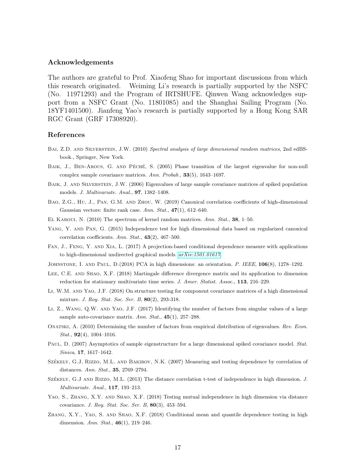### Acknowledgements

The authors are grateful to Prof. Xiaofeng Shao for important discussions from which this research originated. Weiming Li's research is partially supported by the NSFC (No. 11971293) and the Program of IRTSHUFE. Qinwen Wang acknowledges support from a NSFC Grant (No. 11801085) and the Shanghai Sailing Program (No. 18YF1401500). Jianfeng Yao's research is partially supported by a Hong Kong SAR RGC Grant (GRF 17308920).

#### References

- Bai, Z.D. and Silverstein, J.W. (2010) *Spectral analysis of large dimensional random matrices*, 2nd edBSbook., Springer, New York.
- <span id="page-16-2"></span>BAIK, J., BEN-AROUS, G. AND PÉCHÉ, S. (2005) Phase transition of the largest eigenvalue for non-null complex sample covariance matrices. *Ann. Probab.*, 33(5), 1643–1697.
- <span id="page-16-3"></span>BAIK, J. AND SILVERSTEIN, J.W. (2006) Eigenvalues of large sample covariance matrices of spiked population models. *J. Multivariate. Anal.*, 97, 1382–1408.
- <span id="page-16-7"></span>Bao, Z.G., Hu, J., Pan, G.M. and Zhou, W. (2019) Canonical correlation coefficients of high-dimensional Gaussian vectors: finite rank case. *Ann. Stat.*, 47(1), 612–640.
- El Karoui, N. (2010) The spectrum of kernel random matrices. *Ann. Stat.*, 38, 1–50.
- <span id="page-16-6"></span>YANG, Y. AND PAN, G. (2015) Independence test for high dimensional data based on regularized canonical correlation coefficients. *Ann. Stat.*, 43(2), 467–500.
- Fan, J., Feng, Y. and Xia, L. (2017) A projection-based conditional dependence measure with applications to high-dimensional undirected graphical models. *[arXiv:1501.01617.](http://arxiv.org/abs/1501.01617)*

<span id="page-16-5"></span>Johnstone, I. and Paul, D.(2018) PCA in high dimensions: an orientation. *P. IEEE*, 106(8), 1278–1292.

- LEE, C.E. AND SHAO, X.F. (2018) Martingale difference divergence matrix and its application to dimension reduction for stationary multivariate time series. *J. Amer. Statist. Assoc.*, 113, 216–229.
- Li, W.M. and Yao, J.F. (2018) On structure testing for component covariance matrices of a high dimensional mixture. *J. Roy. Stat. Soc. Ser. B*, 80(2), 293-318.
- <span id="page-16-9"></span>Li, Z., Wang, Q.W. and Yao, J.F. (2017) Identifying the number of factors from singular values of a large sample auto-covariance matrix. *Ann. Stat.*, 45(1), 257–288.
- <span id="page-16-8"></span>Onatski, A. (2010) Determining the number of factors from empirical distribution of eigenvalues. *Rev. Econ. Stat.*, 92(4), 1004–1016.
- <span id="page-16-4"></span>Paul, D. (2007) Asymptotics of sample eigenstructure for a large dimensional spiked covariance model. *Stat. Sinica*, 17, 1617–1642.
- <span id="page-16-0"></span>SZÉKELY, G.J, RIZZO, M.L. AND BAKIROV, N.K. (2007) Measuring and testing dependence by correlation of distances. *Ann. Stat.*, 35, 2769–2794.
- <span id="page-16-1"></span>SZÉKELY, G.J AND RIZZO, M.L. (2013) The distance correlation t-test of independence in high dimension. *J. Multivariate. Anal.*, 117, 193–213.
- YAO, S., ZHANG, X.Y. AND SHAO, X.F. (2018) Testing mutual independence in high dimension via distance covariance. *J. Roy. Stat. Soc. Ser. B*, 80(3), 453–594.
- ZHANG, X.Y., YAO, S. AND SHAO, X.F. (2018) Conditional mean and quantile dependence testing in high dimension. *Ann. Stat.*, 46(1), 219–246.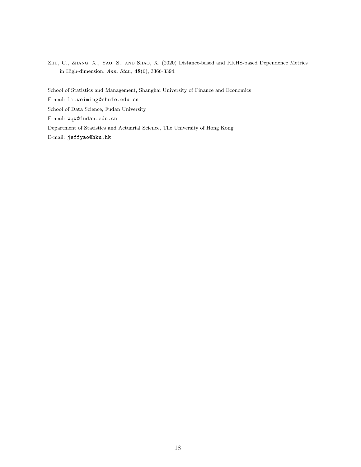<span id="page-17-0"></span>Zhu, C., Zhang, X., Yao, S., and Shao, X. (2020) Distance-based and RKHS-based Dependence Metrics in High-dimension. *Ann. Stat.*, 48(6), 3366-3394.

School of Statistics and Management, Shanghai University of Finance and Economics E-mail: li.weiming@shufe.edu.cn School of Data Science, Fudan University E-mail: wqw@fudan.edu.cn Department of Statistics and Actuarial Science, The University of Hong Kong E-mail: jeffyao@hku.hk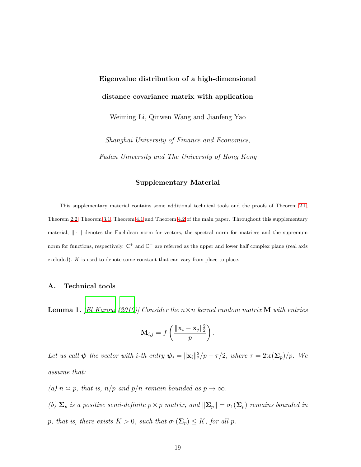# Eigenvalue distribution of a high-dimensional distance covariance matrix with application

Weiming Li, Qinwen Wang and Jianfeng Yao

Shanghai University of Finance and Economics, Fudan University and The University of Hong Kong

### Supplementary Material

This supplementary material contains some additional technical tools and the proofs of Theorem [2.1,](#page-4-1) Theorem [2.2,](#page-4-5) Theorem [3.1,](#page-4-4) Theorem [4.1](#page-8-0) and Theorem [4.2](#page-9-3) of the main paper. Throughout this supplementary material,  $|| \cdot ||$  denotes the Euclidean norm for vectors, the spectral norm for matrices and the supremum norm for functions, respectively.  $\mathbb{C}^+$  and  $\mathbb{C}^-$  are referred as the upper and lower half complex plane (real axis excluded). K is used to denote some constant that can vary from place to place.

## A. Technical tools

<span id="page-18-0"></span>**Lemma 1.** [\[El Karoui \(2010](#page-41-1))] Consider the  $n \times n$  kernel random matrix **M** with entries

$$
\mathbf{M}_{i,j} = f\left(\frac{\|\mathbf{x}_i - \mathbf{x}_j\|_2^2}{p}\right).
$$

Let us call  $\psi$  the vector with *i*-th entry  $\psi_i = ||\mathbf{x}_i||_2^2/p - \tau/2$ , where  $\tau = 2\text{tr}(\mathbf{\Sigma}_p)/p$ . We assume that:

- (a)  $n \asymp p$ , that is,  $n/p$  and  $p/n$  remain bounded as  $p \to \infty$ .
- (b)  $\Sigma_p$  is a positive semi-definite  $p \times p$  matrix, and  $\|\Sigma_p\| = \sigma_1(\Sigma_p)$  remains bounded in p, that is, there exists  $K > 0$ , such that  $\sigma_1(\Sigma_p) \leq K$ , for all p.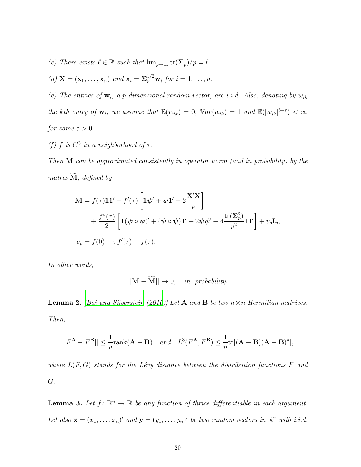- (c) There exists  $\ell \in \mathbb{R}$  such that  $\lim_{p\to\infty} \text{tr}(\Sigma_p)/p = \ell$ .
- (d)  $\mathbf{X} = (\mathbf{x}_1, \dots, \mathbf{x}_n)$  and  $\mathbf{x}_i = \sum_{j=1}^{n} w_i$  for  $i = 1, \dots, n$ .

(e) The entries of  $\mathbf{w}_i$ , a p-dimensional random vector, are i.i.d. Also, denoting by  $w_{ik}$ the kth entry of  $\mathbf{w}_i$ , we assume that  $\mathbb{E}(w_{ik}) = 0$ ,  $\mathbb{V}ar(w_{ik}) = 1$  and  $\mathbb{E}(|w_{ik}|^{5+\epsilon}) < \infty$ for some  $\varepsilon > 0$ .

(f) f is  $C^3$  in a neighborhood of  $\tau$ .

Then M can be approximated consistently in operator norm (and in probability) by the matrix  $\tilde{M}$ , defined by

$$
\widetilde{\mathbf{M}} = f(\tau) \mathbf{1} \mathbf{1}' + f'(\tau) \left[ \mathbf{1} \boldsymbol{\psi}' + \boldsymbol{\psi} \mathbf{1}' - 2 \frac{\mathbf{X}' \mathbf{X}}{p} \right] \n+ \frac{f''(\tau)}{2} \left[ \mathbf{1} (\boldsymbol{\psi} \circ \boldsymbol{\psi})' + (\boldsymbol{\psi} \circ \boldsymbol{\psi}) \mathbf{1}' + 2 \boldsymbol{\psi} \boldsymbol{\psi}' + 4 \frac{\text{tr}(\boldsymbol{\Sigma}_{p}^{2})}{p^{2}} \mathbf{1} \mathbf{1}' \right] + v_{p} \mathbf{I}_{n},
$$
\n
$$
v_{p} = f(0) + \tau f'(\tau) - f(\tau).
$$

In other words,

$$
||\mathbf{M} - \widetilde{\mathbf{M}}|| \to 0, \quad in \ \ probability.
$$

<span id="page-19-0"></span>**Lemma 2.** [\[Bai and Silverstein \(2010](#page-41-0))] Let **A** and **B** be two  $n \times n$  Hermitian matrices. Then,

$$
||F^{\mathbf{A}} - F^{\mathbf{B}}|| \le \frac{1}{n} \text{rank}(\mathbf{A} - \mathbf{B}) \quad \text{and} \quad L^{3}(F^{\mathbf{A}}, F^{\mathbf{B}}) \le \frac{1}{n} \text{tr}[(\mathbf{A} - \mathbf{B})(\mathbf{A} - \mathbf{B})^{*}],
$$

where  $L(F, G)$  stands for the Lévy distance between the distribution functions F and G.

<span id="page-19-1"></span>**Lemma 3.** Let  $f: \mathbb{R}^n \to \mathbb{R}$  be any function of thrice differentiable in each argument. Let also  $\mathbf{x} = (x_1, \dots, x_n)'$  and  $\mathbf{y} = (y_1, \dots, y_n)'$  be two random vectors in  $\mathbb{R}^n$  with i.i.d.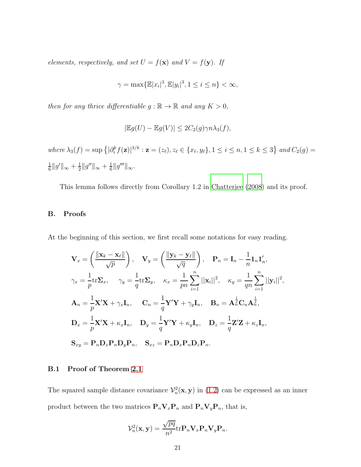elements, respectively, and set  $U = f(\mathbf{x})$  and  $V = f(\mathbf{y})$ . If

$$
\gamma = \max{\{\mathbb{E}|x_i|^3, \mathbb{E}|y_i|^3, 1 \le i \le n\}} < \infty,
$$

then for any thrice differentiable  $g : \mathbb{R} \to \mathbb{R}$  and any  $K > 0$ ,

$$
|\mathbb{E}g(U) - \mathbb{E}g(V)| \leq 2C_2(g)\gamma n \lambda_3(f),
$$

where  $\lambda_3(f) = \sup \left\{ |\partial_i^k f(\mathbf{z})|^{3/k} : \mathbf{z} = (z_\ell), z_\ell \in \{x_\ell, y_\ell\}, 1 \le i \le n, 1 \le k \le 3 \right\}$  and  $C_2(g) =$ 1  $\frac{1}{6}||g'||_{\infty} + \frac{1}{2}$  $\frac{1}{2}||g''||_{\infty} + \frac{1}{6}$  $\frac{1}{6}||g'''||_{\infty}$ .

This lemma follows directly from Corollary 1.2 in [Chatterjee \(2008](#page-41-2)) and its proof.

## B. Proofs

At the beginning of this section, we first recall some notations for easy reading.

$$
\mathbf{V}_{x} = \left(\frac{\|\mathbf{x}_{k} - \mathbf{x}_{\ell}\|}{\sqrt{p}}\right), \quad \mathbf{V}_{y} = \left(\frac{\|\mathbf{y}_{k} - \mathbf{y}_{\ell}\|}{\sqrt{q}}\right), \quad \mathbf{P}_{n} = \mathbf{I}_{n} - \frac{1}{n}\mathbf{1}_{n}\mathbf{1}'_{n},
$$
\n
$$
\gamma_{x} = \frac{1}{p}\text{tr}\Sigma_{x}, \quad \gamma_{y} = \frac{1}{q}\text{tr}\Sigma_{y}, \quad \kappa_{x} = \frac{1}{pn}\sum_{i=1}^{n}||\mathbf{x}_{i}||^{2}, \quad \kappa_{y} = \frac{1}{qn}\sum_{i=1}^{n}||\mathbf{y}_{i}||^{2},
$$
\n
$$
\mathbf{A}_{n} = \frac{1}{p}\mathbf{X}'\mathbf{X} + \gamma_{x}\mathbf{I}_{n}, \quad \mathbf{C}_{n} = \frac{1}{q}\mathbf{Y}'\mathbf{Y} + \gamma_{y}\mathbf{I}_{n}, \quad \mathbf{B}_{n} = \mathbf{A}_{n}^{\frac{1}{2}}\mathbf{C}_{n}\mathbf{A}_{n}^{\frac{1}{2}},
$$
\n
$$
\mathbf{D}_{x} = \frac{1}{p}\mathbf{X}'\mathbf{X} + \kappa_{x}\mathbf{I}_{n}, \quad \mathbf{D}_{y} = \frac{1}{q}\mathbf{Y}'\mathbf{Y} + \kappa_{y}\mathbf{I}_{n}, \quad \mathbf{D}_{z} = \frac{1}{q}\mathbf{Z}'\mathbf{Z} + \kappa_{z}\mathbf{I}_{n},
$$
\n
$$
\mathbf{S}_{xy} = \mathbf{P}_{n}\mathbf{D}_{x}\mathbf{P}_{n}\mathbf{D}_{y}\mathbf{P}_{n}, \quad \mathbf{S}_{xz} = \mathbf{P}_{n}\mathbf{D}_{x}\mathbf{P}_{n}\mathbf{D}_{z}\mathbf{P}_{n}.
$$

## B.1 Proof of Theorem [2.1](#page-4-1)

The squared sample distance covariance  $\mathcal{V}_n^2(\mathbf{x}, \mathbf{y})$  in [\(1.2\)](#page-0-0) can be expressed as an inner product between the two matrices  $\mathbf{P}_n \mathbf{V}_x \mathbf{P}_n$  and  $\mathbf{P}_n \mathbf{V}_y \mathbf{P}_n$ , that is,

$$
\mathcal{V}_n^2(\mathbf{x}, \mathbf{y}) = \frac{\sqrt{pq}}{n^2} \text{tr} \mathbf{P}_n \mathbf{V}_x \mathbf{P}_n \mathbf{V}_y \mathbf{P}_n.
$$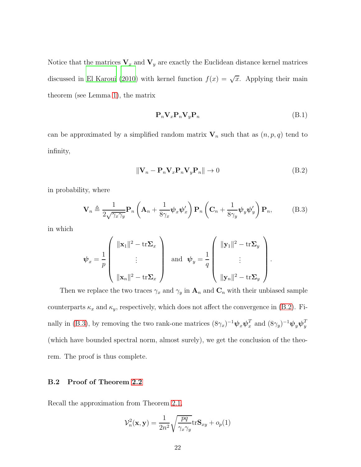Notice that the matrices  $V_x$  and  $V_y$  are exactly the Euclidean distance kernel matrices discussed in [El Karoui \(2010\)](#page-41-1) with kernel function  $f(x) = \sqrt{x}$ . Applying their main theorem (see Lemma [1\)](#page-18-0), the matrix

<span id="page-21-0"></span>
$$
\mathbf{P}_n \mathbf{V}_x \mathbf{P}_n \mathbf{V}_y \mathbf{P}_n \tag{B.1}
$$

can be approximated by a simplified random matrix  $V_n$  such that as  $(n, p, q)$  tend to infinity,

<span id="page-21-1"></span>
$$
\|\mathbf{V}_n - \mathbf{P}_n \mathbf{V}_x \mathbf{P}_n \mathbf{V}_y \mathbf{P}_n\| \to 0
$$
\n(B.2)

in probability, where

$$
\mathbf{V}_n \triangleq \frac{1}{2\sqrt{\gamma_x \gamma_y}} \mathbf{P}_n \left( \mathbf{A}_n + \frac{1}{8\gamma_x} \boldsymbol{\psi}_x \boldsymbol{\psi}_x' \right) \mathbf{P}_n \left( \mathbf{C}_n + \frac{1}{8\gamma_y} \boldsymbol{\psi}_y \boldsymbol{\psi}_y' \right) \mathbf{P}_n, \tag{B.3}
$$

in which

$$
\boldsymbol{\psi}_x = \frac{1}{p} \left( \begin{array}{ccc} ||\mathbf{x}_1||^2 - \mathrm{tr} \boldsymbol{\Sigma}_x \\ \vdots \\ ||\mathbf{x}_n||^2 - \mathrm{tr} \boldsymbol{\Sigma}_x \end{array} \right) \text{ and } \boldsymbol{\psi}_y = \frac{1}{q} \left( \begin{array}{ccc} ||\mathbf{y}_1||^2 - \mathrm{tr} \boldsymbol{\Sigma}_y \\ \vdots \\ ||\mathbf{y}_n||^2 - \mathrm{tr} \boldsymbol{\Sigma}_y \end{array} \right).
$$

Then we replace the two traces  $\gamma_x$  and  $\gamma_y$  in  $\mathbf{A}_n$  and  $\mathbf{C}_n$  with their unbiased sample counterparts  $\kappa_x$  and  $\kappa_y$ , respectively, which does not affect the convergence in [\(B.2\)](#page-21-0). Fi-nally in [\(B.3\)](#page-21-1), by removing the two rank-one matrices  $(8\gamma_x)^{-1}\psi_x\psi_x^T$  and  $(8\gamma_y)^{-1}\psi_y\psi_y^T$  $\overline{y}$ (which have bounded spectral norm, almost surely), we get the conclusion of the theorem. The proof is thus complete.

## B.2 Proof of Theorem [2.2](#page-4-5)

Recall the approximation from Theorem [2.1,](#page-4-1)

$$
\mathcal{V}_n^2(\mathbf{x}, \mathbf{y}) = \frac{1}{2n^2} \sqrt{\frac{pq}{\gamma_x \gamma_y}} \text{tr} \mathbf{S}_{xy} + o_p(1)
$$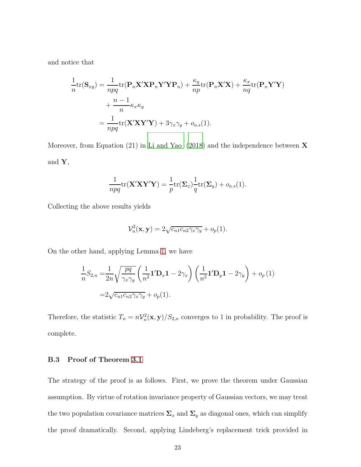and notice that

$$
\frac{1}{n}\text{tr}(\mathbf{S}_{xy}) = \frac{1}{npq}\text{tr}(\mathbf{P}_n\mathbf{X}'\mathbf{X}\mathbf{P}_n\mathbf{Y}'\mathbf{Y}\mathbf{P}_n) + \frac{\kappa_y}{np}\text{tr}(\mathbf{P}_n\mathbf{X}'\mathbf{X}) + \frac{\kappa_x}{nq}\text{tr}(\mathbf{P}_n\mathbf{Y}'\mathbf{Y})
$$
\n
$$
+ \frac{n-1}{n}\kappa_x\kappa_y
$$
\n
$$
= \frac{1}{npq}\text{tr}(\mathbf{X}'\mathbf{X}\mathbf{Y}'\mathbf{Y}) + 3\gamma_x\gamma_y + o_{a.s}(1).
$$

Moreover, from Equation (21) in [Li and Yao \(2018\)](#page-41-3) and the independence between  $X$ and  $\mathbf{Y},$ 

$$
\frac{1}{npq}\text{tr}(\mathbf{X}'\mathbf{X}\mathbf{Y}'\mathbf{Y}) = \frac{1}{p}\text{tr}(\mathbf{\Sigma}_x)\frac{1}{q}\text{tr}(\mathbf{\Sigma}_y) + o_{a.s}(1).
$$

Collecting the above results yields

$$
\mathcal{V}_n^2(\mathbf{x}, \mathbf{y}) = 2\sqrt{c_{n1}c_{n2}\gamma_x\gamma_y} + o_p(1).
$$

On the other hand, applying Lemma [1,](#page-18-0) we have

$$
\frac{1}{n}S_{2,n} = \frac{1}{2n}\sqrt{\frac{pq}{\gamma_x\gamma_y}} \left(\frac{1}{n^2}\mathbf{1}'\mathbf{D}_x\mathbf{1} - 2\gamma_x\right) \left(\frac{1}{n^2}\mathbf{1}'\mathbf{D}_y\mathbf{1} - 2\gamma_y\right) + o_p(1)
$$

$$
= 2\sqrt{c_{n1}c_{n2}\gamma_x\gamma_y} + o_p(1).
$$

Therefore, the statistic  $T_n = n\mathcal{V}_n^2(\mathbf{x}, \mathbf{y})/S_{2,n}$  converges to 1 in probability. The proof is complete.

## B.3 Proof of Theorem [3.1](#page-4-4)

The strategy of the proof is as follows. First, we prove the theorem under Gaussian assumption. By virtue of rotation invariance property of Gaussian vectors, we may treat the two population covariance matrices  $\Sigma_x$  and  $\Sigma_y$  as diagonal ones, which can simplify the proof dramatically. Second, applying Lindeberg's replacement trick provided in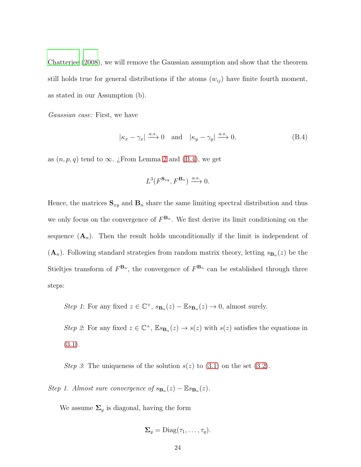[Chatterjee \(2008\)](#page-41-2), we will remove the Gaussian assumption and show that the theorem still holds true for general distributions if the atoms  $(w_{ij})$  have finite fourth moment, as stated in our Assumption (b).

Gaussian case: First, we have

$$
|\kappa_x - \gamma_x| \xrightarrow{a.s.} 0
$$
 and  $|\kappa_y - \gamma_y| \xrightarrow{a.s.} 0,$  (B.4)

as  $(n, p, q)$  tend to  $\infty$ . ¿From Lemma [2](#page-19-0) and [\(B.4\)](#page-23-0), we get

<span id="page-23-0"></span>
$$
L^3(F^{\mathbf{S}_{xy}}, F^{\mathbf{B}_n}) \xrightarrow{a.s.} 0.
$$

Hence, the matrices  $\mathbf{S}_{xy}$  and  $\mathbf{B}_n$  share the same limiting spectral distribution and thus we only focus on the convergence of  $F^{\mathbf{B}_n}$ . We first derive its limit conditioning on the sequence  $(A_n)$ . Then the result holds unconditionally if the limit is independent of  $(\mathbf{A}_n)$ . Following standard strategies from random matrix theory, letting  $s_{\mathbf{B}_n}(z)$  be the Stieltjes transform of  $F^{\mathbf{B}_n}$ , the convergence of  $F^{\mathbf{B}_n}$  can be established through three steps:

Step 1: For any fixed  $z \in \mathbb{C}^+$ ,  $s_{\mathbf{B}_n}(z) - \mathbb{E}s_{\mathbf{B}_n}(z) \to 0$ , almost surely.

Step 2: For any fixed  $z \in \mathbb{C}^+$ ,  $\mathbb{E} s_{\mathbf{B}_n}(z) \to s(z)$  with  $s(z)$  satisfies the equations in [\(3.1\)](#page-4-4).

Step 3: The uniqueness of the solution  $s(z)$  to [\(3.1\)](#page-4-3) on the set [\(3.2\)](#page-5-0).

Step 1. Almost sure convergence of  $s_{\mathbf{B}_n}(z) - \mathbb{E}s_{\mathbf{B}_n}(z)$ .

We assume  $\Sigma_y$  is diagonal, having the form

$$
\Sigma_y = \text{Diag}(\tau_1, \ldots, \tau_q).
$$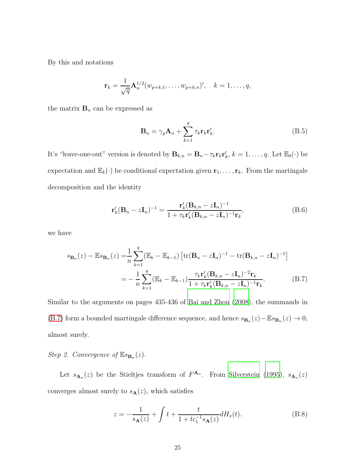By this and notations

$$
\mathbf{r}_{k} = \frac{1}{\sqrt{q}} \mathbf{A}_{n}^{1/2} (w_{p+k,1}, \dots, w_{p+k,n})', \quad k = 1, \dots, q,
$$

the matrix  $\mathbf{B}_n$  can be expressed as

<span id="page-24-2"></span><span id="page-24-1"></span>
$$
\mathbf{B}_n = \gamma_y \mathbf{A}_n + \sum_{k=1}^q \tau_k \mathbf{r}_k \mathbf{r}'_k.
$$
 (B.5)

It's "leave-one-out" version is denoted by  $\mathbf{B}_{k,n} = \mathbf{B}_n - \tau_k \mathbf{r}_k \mathbf{r}'_k$ ,  $k = 1, \ldots, q$ . Let  $\mathbb{E}_0(\cdot)$  be expectation and  $\mathbb{E}_k(\cdot)$  be conditional expectation given  $\mathbf{r}_1, \ldots, \mathbf{r}_k$ . From the martingale decomposition and the identity

<span id="page-24-0"></span>
$$
\mathbf{r}_{k}'(\mathbf{B}_{n}-z\mathbf{I}_{n})^{-1} = \frac{\mathbf{r}_{k}'(\mathbf{B}_{k,n}-z\mathbf{I}_{n})^{-1}}{1+\tau_{k}\mathbf{r}_{k}'(\mathbf{B}_{k,n}-z\mathbf{I}_{n})^{-1}\mathbf{r}_{k}},
$$
(B.6)

we have

$$
s_{\mathbf{B}_n}(z) - \mathbb{E}s_{\mathbf{B}_n}(z) = \frac{1}{n} \sum_{k=1}^q (\mathbb{E}_k - \mathbb{E}_{k-1}) \left[ \text{tr}(\mathbf{B}_n - z\mathbf{I}_n)^{-1} - \text{tr}(\mathbf{B}_{k,n} - z\mathbf{I}_n)^{-1} \right]
$$
  
= 
$$
- \frac{1}{n} \sum_{k=1}^q (\mathbb{E}_k - \mathbb{E}_{k-1}) \frac{\tau_k \mathbf{r}_k' (\mathbf{B}_{k,n} - z\mathbf{I}_n)^{-2} \mathbf{r}_k}{1 + \tau_k \mathbf{r}_k' (\mathbf{B}_{k,n} - z\mathbf{I}_n)^{-1} \mathbf{r}_k}.
$$
(B.7)

Similar to the arguments on pages 435-436 of [Bai and Zhou \(2008\)](#page-41-4), the summands in [\(B.7\)](#page-24-0) form a bounded martingale difference sequence, and hence  $s_{\mathbf{B}_n}(z) - \mathbb{E}s_{\mathbf{B}_n}(z) \to 0$ , almost surely.

Step 2. Convergence of  $\mathbb{E} s_{\mathbf{B}_n}(z)$ .

Let  $s_{\mathbf{A}_n}(z)$  be the Stieltjes transform of  $F^{\mathbf{A}_n}$ . From [Silverstein \(1995\)](#page-41-5),  $s_{\mathbf{A}_n}(z)$ converges almost surely to  $s_{\mathbf{A}}(z)$ , which satisfies

<span id="page-24-3"></span>
$$
z = -\frac{1}{s_{\mathbf{A}}(z)} + \int t + \frac{t}{1 + tc_1^{-1}s_{\mathbf{A}}(z)} dH_x(t).
$$
 (B.8)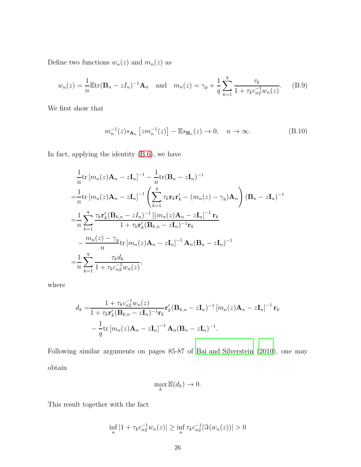Define two functions  $w_n(z)$  and  $m_n(z)$  as

$$
w_n(z) = \frac{1}{n} \mathbb{E} \text{tr}(\mathbf{B}_n - zI_n)^{-1} \mathbf{A}_n \quad \text{and} \quad m_n(z) = \gamma_y + \frac{1}{q} \sum_{k=1}^q \frac{\tau_k}{1 + \tau_k c_{n2}^{-1} w_n(z)}.
$$
 (B.9)

We first show that

<span id="page-25-1"></span><span id="page-25-0"></span>
$$
m_n^{-1}(z)s_{\mathbf{A}_n}\left[zm_n^{-1}(z)\right] - \mathbb{E}s_{\mathbf{B}_n}(z) \to 0, \quad n \to \infty.
$$
 (B.10)

In fact, applying the identity [\(B.6\)](#page-24-1), we have

$$
\frac{1}{n}\text{tr}\left[m_{n}(z)\mathbf{A}_{n}-z\mathbf{I}_{n}\right]^{-1}-\frac{1}{n}\text{tr}(\mathbf{B}_{n}-z\mathbf{I}_{n})^{-1}
$$
\n
$$
=\frac{1}{n}\text{tr}\left[m_{n}(z)\mathbf{A}_{n}-z\mathbf{I}_{n}\right]^{-1}\left(\sum_{k=1}^{q}\tau_{k}\mathbf{r}_{k}\mathbf{r}_{k}^{\prime}-\left(m_{n}(z)-\gamma_{y}\right)\mathbf{A}_{n}\right)(\mathbf{B}_{n}-z\mathbf{I}_{n})^{-1}
$$
\n
$$
=\frac{1}{n}\sum_{k=1}^{q}\frac{\tau_{k}\mathbf{r}_{k}^{\prime}(\mathbf{B}_{k,n}-zI_{n})^{-1}\left[(m_{n}(z)\mathbf{A}_{n}-z\mathbf{I}_{n}\right]^{-1}\mathbf{r}_{k}}{1+\tau_{k}\mathbf{r}_{k}^{\prime}(\mathbf{B}_{k,n}-z\mathbf{I}_{n})^{-1}\mathbf{r}_{k}}
$$
\n
$$
-\frac{m_{n}(z)-\gamma_{y}}{n}\text{tr}\left[m_{n}(z)\mathbf{A}_{n}-z\mathbf{I}_{n}\right]^{-1}\mathbf{A}_{n}(\mathbf{B}_{n}-z\mathbf{I}_{n})^{-1}
$$
\n
$$
=\frac{1}{n}\sum_{k=1}^{q}\frac{\tau_{k}d_{k}}{1+\tau_{k}c_{n2}^{-1}w_{n}(z)},
$$

where

$$
d_k = \frac{1 + \tau_k c_{n2}^{-1} w_n(z)}{1 + \tau_k \mathbf{r}_k' (\mathbf{B}_{k,n} - z\mathbf{I}_n)^{-1} \mathbf{r}_k} \mathbf{r}_k' (\mathbf{B}_{k,n} - z\mathbf{I}_n)^{-1} [m_n(z)\mathbf{A}_n - z\mathbf{I}_n]^{-1} \mathbf{r}_k
$$

$$
- \frac{1}{q} \text{tr} [m_n(z)\mathbf{A}_n - z\mathbf{I}_n]^{-1} \mathbf{A}_n (\mathbf{B}_n - z\mathbf{I}_n)^{-1}.
$$

Following similar arguments on pages 85-87 of [Bai and Silverstein \(2010\)](#page-41-0), one may obtain

$$
\max_{k} \mathbb{E}(d_k) \to 0.
$$

This result together with the fact

$$
\inf_{n} |1 + \tau_k c_{n2}^{-1} w_n(z)| \ge \inf_{n} \tau_k c_{n2}^{-1} |\Im(w_n(z))| > 0
$$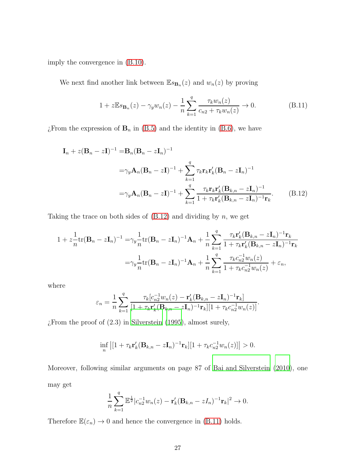imply the convergence in [\(B.10\)](#page-25-1).

We next find another link between  $\mathbb{E} s_{\mathbf{B}_n}(z)$  and  $w_n(z)$  by proving

<span id="page-26-1"></span><span id="page-26-0"></span>
$$
1 + z \mathbb{E} s_{\mathbf{B}_n}(z) - \gamma_y w_n(z) - \frac{1}{n} \sum_{k=1}^q \frac{\tau_k w_n(z)}{c_{n2} + \tau_k w_n(z)} \to 0.
$$
 (B.11)

 $\tilde{E}$ From the expression of  $\mathbf{B}_n$  in [\(B.5\)](#page-24-2) and the identity in [\(B.6\)](#page-24-1), we have

$$
\mathbf{I}_n + z(\mathbf{B}_n - z\mathbf{I})^{-1} = \mathbf{B}_n (\mathbf{B}_n - z\mathbf{I}_n)^{-1}
$$
  

$$
= \gamma_y \mathbf{A}_n (\mathbf{B}_n - z\mathbf{I})^{-1} + \sum_{k=1}^q \tau_k \mathbf{r}_k \mathbf{r}'_k (\mathbf{B}_n - z\mathbf{I}_n)^{-1}
$$
  

$$
= \gamma_y \mathbf{A}_n (\mathbf{B}_n - z\mathbf{I})^{-1} + \sum_{k=1}^q \frac{\tau_k \mathbf{r}_k \mathbf{r}'_k (\mathbf{B}_{k,n} - z\mathbf{I}_n)^{-1}}{1 + \tau_k \mathbf{r}'_k (\mathbf{B}_{k,n} - z\mathbf{I}_n)^{-1} \mathbf{r}_k}.
$$
 (B.12)

Taking the trace on both sides of  $(B.12)$  and dividing by n, we get

$$
1 + zn1tr(\mathbf{B}n - z\mathbf{I}n)-1 = \gamma_y \frac{1}{n} tr(\mathbf{B}n - z\mathbf{I}n)-1 \mathbf{A}n + \frac{1}{n} \sum_{k=1}^{q} \frac{\tau_k \mathbf{r}'_k (\mathbf{B}k,n - z\mathbf{I}n)-1 \mathbf{r}_k}{1 + \tau_k \mathbf{r}'_k (\mathbf{B}k,n - z\mathbf{I}n)-1 \mathbf{r}_k
$$

$$
= \gamma_y \frac{1}{n} tr(\mathbf{B}n - z\mathbf{I}n)-1 \mathbf{A}n + \frac{1}{n} \sum_{k=1}^{q} \frac{\tau_k c_{n2}^{-1} w_n(z)}{1 + \tau_k c_{n2}^{-1} w_n(z)} + \varepsilon_n,
$$

where

$$
\varepsilon_n = \frac{1}{n} \sum_{k=1}^q \frac{\tau_k [c_{n2}^{-1} w_n(z) - \mathbf{r}_k' (\mathbf{B}_{k,n} - z \mathbf{I}_n)^{-1} \mathbf{r}_k]}{[1 + \tau_k \mathbf{r}_k' (\mathbf{B}_{k,n} - z \mathbf{I}_n)^{-1} \mathbf{r}_k][1 + \tau_k c_{n2}^{-1} w_n(z)].}
$$

 $\chi$ From the proof of (2.3) in [Silverstein \(1995\)](#page-41-5), almost surely,

$$
\inf_{n} |[1 + \tau_k \mathbf{r}_k' (\mathbf{B}_{k,n} - z \mathbf{I}_n)^{-1} \mathbf{r}_k][1 + \tau_k c_{n2}^{-1} w_n(z)]| > 0.
$$

Moreover, following similar arguments on page 87 of [Bai and Silverstein \(2010\)](#page-41-0), one may get

$$
\frac{1}{n}\sum_{k=1}^q \mathbb{E}^{\frac{1}{2}} |c_{n2}^{-1}w_n(z) - \mathbf{r}'_k(\mathbf{B}_{k,n} - zI_n)^{-1}\mathbf{r}_k|^2 \to 0.
$$

Therefore  $\mathbb{E}(\varepsilon_n)\to 0$  and hence the convergence in [\(B.11\)](#page-26-1) holds.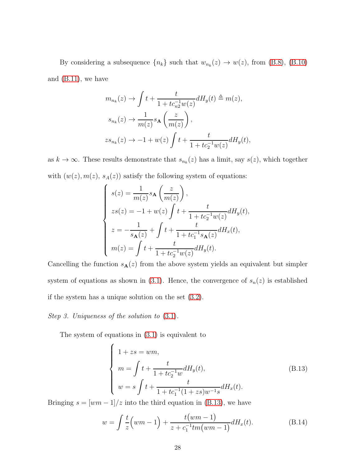By considering a subsequence  $\{n_k\}$  such that  $w_{n_k}(z) \to w(z)$ , from [\(B.8\)](#page-24-3), [\(B.10\)](#page-25-1) and [\(B.11\)](#page-26-1), we have

$$
m_{n_k}(z) \to \int t + \frac{t}{1 + tc_{n2}^{-1}w(z)} dH_y(t) \triangleq m(z),
$$
  
\n
$$
s_{n_k}(z) \to \frac{1}{m(z)} s_{\mathbf{A}} \left(\frac{z}{m(z)}\right),
$$
  
\n
$$
zs_{n_k}(z) \to -1 + w(z) \int t + \frac{t}{1 + tc_2^{-1}w(z)} dH_y(t),
$$

as  $k \to \infty$ . These results demonstrate that  $s_{n_k}(z)$  has a limit, say  $s(z)$ , which together with  $(w(z), m(z), s<sub>A</sub>(z))$  satisfy the following system of equations:

$$
\left\{ \begin{array}{l} s(z)=\displaystyle\frac{1}{m(z)}s_{\mathbf{A}}\left(\frac{z}{m(z)}\right), \\ zs(z)=-1+w(z)\int t+\frac{t}{1+tc_{2}^{-1}w(z)}dH_{y}(t), \\ z=-\displaystyle\frac{1}{s_{\mathbf{A}}(z)}+\int t+\frac{t}{1+tc_{1}^{-1}s_{\mathbf{A}}(z)}dH_{x}(t), \\ m(z)=\int t+\frac{t}{1+tc_{2}^{-1}w(z)}dH_{y}(t). \end{array} \right.
$$

Cancelling the function  $s_{\mathbf{A}}(z)$  from the above system yields an equivalent but simpler system of equations as shown in [\(3.1\)](#page-4-4). Hence, the convergence of  $s_n(z)$  is established if the system has a unique solution on the set [\(3.2\)](#page-5-0).

Step 3. Uniqueness of the solution to [\(3.1\)](#page-4-4).

The system of equations in [\(3.1\)](#page-4-4) is equivalent to

<span id="page-27-0"></span>
$$
\begin{cases}\n1+zs = wm, \\
m = \int t + \frac{t}{1+tc_2^{-1}w} dH_y(t), \\
w = s \int t + \frac{t}{1+tc_1^{-1}(1+zs)w^{-1}s} dH_x(t).\n\end{cases}
$$
\n(B.13)

Bringing  $s = [wm - 1]/z$  into the third equation in [\(B.13\)](#page-27-0), we have

<span id="page-27-1"></span>
$$
w = \int \frac{t}{z} \left( w m - 1 \right) + \frac{t \left( w m - 1 \right)}{z + c_1^{-1} t m \left( w m - 1 \right)} dH_x(t).
$$
 (B.14)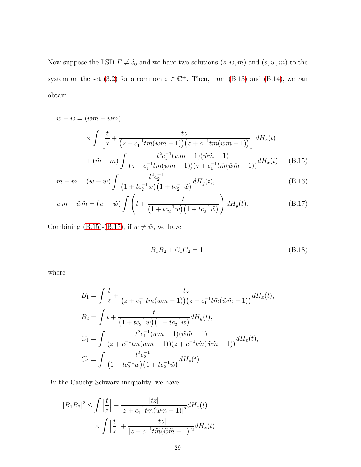Now suppose the LSD  $F \neq \delta_0$  and we have two solutions  $(s, w, m)$  and  $(\tilde{s}, \tilde{w}, \tilde{m})$  to the system on the set [\(3.2\)](#page-5-0) for a common  $z \in \mathbb{C}^+$ . Then, from [\(B.13\)](#page-27-0) and [\(B.14\)](#page-27-1), we can obtain

$$
w - \tilde{w} = (wm - \tilde{w}\tilde{m})
$$
  
\n
$$
\times \int \left[ \frac{t}{z} + \frac{tz}{(z + c_1^{-1}tm(wm - 1))(z + c_1^{-1}t\tilde{m}(\tilde{w}\tilde{m} - 1))} \right] dH_x(t)
$$
  
\n
$$
+ (\tilde{m} - m) \int \frac{t^2 c_1^{-1}(wm - 1)(\tilde{w}\tilde{m} - 1)}{(z + c_1^{-1}tm(wm - 1))(z + c_1^{-1}t\tilde{m}(\tilde{w}\tilde{m} - 1))} dH_x(t), \quad (B.15)
$$

$$
\tilde{m} - m = (w - \tilde{w}) \int \frac{t^2 c_2^{-1}}{(1 + t c_2^{-1} w)(1 + t c_2^{-1} \tilde{w})} dH_y(t),
$$
\n(B.16)

$$
wm - \tilde{w}\tilde{m} = (w - \tilde{w}) \int \left( t + \frac{t}{\left( 1 + tc_2^{-1}w \right) \left( 1 + tc_2^{-1}\tilde{w} \right)} \right) dH_y(t).
$$
 (B.17)

Combining [\(B.15\)](#page-28-0)-[\(B.17\)](#page-28-1), if  $w\neq \tilde w,$  we have

<span id="page-28-2"></span><span id="page-28-1"></span><span id="page-28-0"></span>
$$
B_1 B_2 + C_1 C_2 = 1,\t\t(B.18)
$$

where

$$
B_1 = \int \frac{t}{z} + \frac{tz}{(z + c_1^{-1}tm(wm - 1))(z + c_1^{-1}t\tilde{m}(\tilde{w}\tilde{m} - 1))}dH_x(t),
$$
  
\n
$$
B_2 = \int t + \frac{t}{(1 + tc_2^{-1}w)(1 + tc_2^{-1}\tilde{w})}dH_y(t),
$$
  
\n
$$
C_1 = \int \frac{t^2c_1^{-1}(wm - 1)(\tilde{w}\tilde{m} - 1)}{(z + c_1^{-1}tm(wm - 1))(z + c_1^{-1}t\tilde{m}(\tilde{w}\tilde{m} - 1))}dH_x(t),
$$
  
\n
$$
C_2 = \int \frac{t^2c_2^{-1}}{(1 + tc_2^{-1}w)(1 + tc_2^{-1}\tilde{w})}dH_y(t).
$$

By the Cauchy-Schwarz inequality, we have

$$
|B_1B_2|^2 \le \int \left|\frac{t}{z}\right| + \frac{|tz|}{|z+c_1^{-1}tm(wm-1)|^2}dH_x(t)
$$

$$
\times \int \left|\frac{t}{z}\right| + \frac{|tz|}{|z+c_1^{-1}t\widetilde{m}(\widetilde{w}\widetilde{m}-1)|^2}dH_x(t)
$$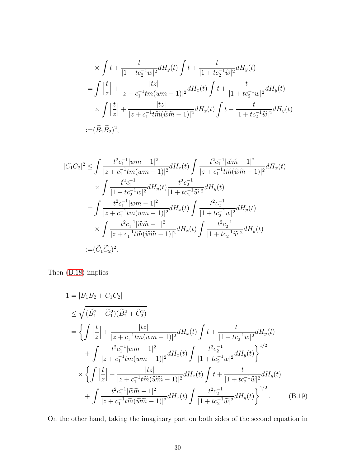$$
\times \int t + \frac{t}{|1 + tc_2^{-1}w|^2} dH_y(t) \int t + \frac{t}{|1 + tc_2^{-1}\widetilde{w}|^2} dH_y(t)
$$
  
= 
$$
\int \left| \frac{t}{z} \right| + \frac{|tz|}{|z + c_1^{-1}tm(wm - 1)|^2} dH_x(t) \int t + \frac{t}{|1 + tc_2^{-1}w|^2} dH_y(t)
$$
  

$$
\times \int \left| \frac{t}{z} \right| + \frac{|tz|}{|z + c_1^{-1}t\widetilde{m}(\widetilde{w}\widetilde{m} - 1)|^2} dH_x(t) \int t + \frac{t}{|1 + tc_2^{-1}\widetilde{w}|^2} dH_y(t)
$$
  
:= 
$$
(\widetilde{B}_1 \widetilde{B}_2)^2,
$$

$$
|C_{1}C_{2}|^{2} \leq \int \frac{t^{2}c_{1}^{-1}|wm - 1|^{2}}{|z + c_{1}^{-1}tm(wm - 1)|^{2}}dH_{x}(t) \int \frac{t^{2}c_{1}^{-1}|\widetilde{w}\widetilde{m} - 1|^{2}}{|z + c_{1}^{-1}t\widetilde{m}(\widetilde{w}\widetilde{m} - 1)|^{2}}dH_{x}(t) \times \int \frac{t^{2}c_{2}^{-1}}{|1 + tc_{2}^{-1}w|^{2}}dH_{y}(t) \frac{t^{2}c_{2}^{-1}}{|1 + tc_{2}^{-1}\widetilde{w}|^{2}}dH_{y}(t) \n= \int \frac{t^{2}c_{1}^{-1}|wm - 1|^{2}}{|z + c_{1}^{-1}tm(wm - 1)|^{2}}dH_{x}(t) \int \frac{t^{2}c_{2}^{-1}}{|1 + tc_{2}^{-1}w|^{2}}dH_{y}(t) \n\times \int \frac{t^{2}c_{1}^{-1}|\widetilde{w}\widetilde{m} - 1|^{2}}{|z + c_{1}^{-1}t\widetilde{m}(\widetilde{w}\widetilde{m} - 1)|^{2}}dH_{x}(t) \int \frac{t^{2}c_{2}^{-1}}{|1 + tc_{2}^{-1}\widetilde{w}|^{2}}dH_{y}(t) \n:= (\widetilde{C}_{1}\widetilde{C}_{2})^{2}.
$$

Then [\(B.18\)](#page-28-2) implies

<span id="page-29-0"></span>
$$
1 = |B_1B_2 + C_1C_2|
$$
  
\n
$$
\leq \sqrt{(\tilde{B}_1^2 + \tilde{C}_1^2)(\tilde{B}_2^2 + \tilde{C}_2^2)}
$$
  
\n
$$
= \left\{ \int \left| \frac{t}{z} \right| + \frac{|tz|}{|z + c_1^{-1}tm(wm - 1)|^2} dH_x(t) \int t + \frac{t}{|1 + tc_2^{-1}w|^2} dH_y(t)
$$
  
\n
$$
+ \int \frac{t^2c_1^{-1}|wm - 1|^2}{|z + c_1^{-1}tm(wm - 1)|^2} dH_x(t) \int \frac{t^2c_2^{-1}}{|1 + tc_2^{-1}w|^2} dH_y(t) \right\}^{1/2}
$$
  
\n
$$
\times \left\{ \int \left| \frac{t}{z} \right| + \frac{|tz|}{|z + c_1^{-1}t\tilde{m}(\tilde{w}\tilde{m} - 1)|^2} dH_x(t) \int t + \frac{t}{|1 + tc_2^{-1}\tilde{w}|^2} dH_y(t)
$$
  
\n
$$
+ \int \frac{t^2c_1^{-1}|\tilde{w}\tilde{m} - 1|^2}{|z + c_1^{-1}t\tilde{m}(\tilde{w}\tilde{m} - 1)|^2} dH_x(t) \int \frac{t^2c_2^{-1}}{|1 + tc_2^{-1}\tilde{w}|^2} dH_y(t) \right\}^{1/2} .
$$
 (B.19)

On the other hand, taking the imaginary part on both sides of the second equation in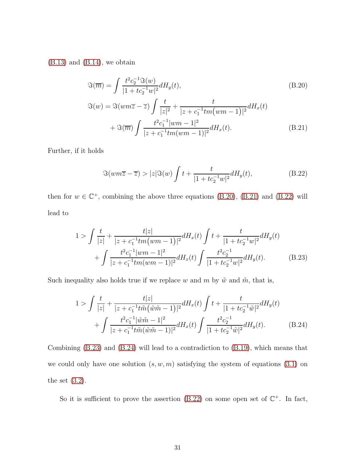$(B.13)$  and  $(B.14)$ , we obtain

<span id="page-30-0"></span>
$$
\Im(\overline{m}) = \int \frac{t^2 c_2^{-1} \Im(w)}{|1 + tc_2^{-1}w|^2} dH_y(t),
$$
\n
$$
\Im(w) = \Im(wm\overline{z} - \overline{z}) \int \frac{t}{|z|^2} + \frac{t}{|z + c_1^{-1}tm(wm - 1)|^2} dH_x(t)
$$
\n
$$
+ \Im(\overline{m}) \int \frac{t^2 c_1^{-1} |wm - 1|^2}{|z + c_1^{-1}tm(wm - 1)|^2} dH_x(t).
$$
\n(B.21)

Further, if it holds

<span id="page-30-3"></span><span id="page-30-2"></span><span id="page-30-1"></span>
$$
\Im(wm\overline{z}-\overline{z}) > |z|\Im(w)\int t + \frac{t}{|1+tc_2^{-1}w|^2}dH_y(t),\tag{B.22}
$$

then for  $w \in \mathbb{C}^+$ , combining the above three equations [\(B.20\)](#page-30-0), [\(B.21\)](#page-30-1) and [\(B.22\)](#page-30-2) will lead to

$$
1 > \int \frac{t}{|z|} + \frac{t|z|}{|z + c_1^{-1}tm(wm - 1)|^2} dH_x(t) \int t + \frac{t}{|1 + tc_2^{-1}w|^2} dH_y(t) + \int \frac{t^2c_1^{-1}|wm - 1|^2}{|z + c_1^{-1}tm(wm - 1)|^2} dH_x(t) \int \frac{t^2c_2^{-1}}{|1 + tc_2^{-1}w|^2} dH_y(t).
$$
 (B.23)

Such inequality also holds true if we replace w and m by  $\tilde{w}$  and  $\tilde{m}$ , that is,

<span id="page-30-4"></span>
$$
1 > \int \frac{t}{|z|} + \frac{t|z|}{|z + c_1^{-1}t\tilde{m}(\tilde{w}\tilde{m} - 1)|^2} dH_x(t) \int t + \frac{t}{|1 + tc_2^{-1}\tilde{w}|^2} dH_y(t) + \int \frac{t^2c_1^{-1}|\tilde{w}\tilde{m} - 1|^2}{|z + c_1^{-1}t\tilde{m}(\tilde{w}\tilde{m} - 1)|^2} dH_x(t) \int \frac{t^2c_2^{-1}}{|1 + tc_2^{-1}\tilde{w}|^2} dH_y(t).
$$
 (B.24)

Combining [\(B.23\)](#page-30-3) and [\(B.24\)](#page-30-4) will lead to a contradiction to [\(B.19\)](#page-29-0), which means that we could only have one solution  $(s, w, m)$  satisfying the system of equations  $(3.1)$  on the set  $(3.2)$ .

So it is sufficient to prove the assertion  $(B.22)$  on some open set of  $\mathbb{C}^+$ . In fact,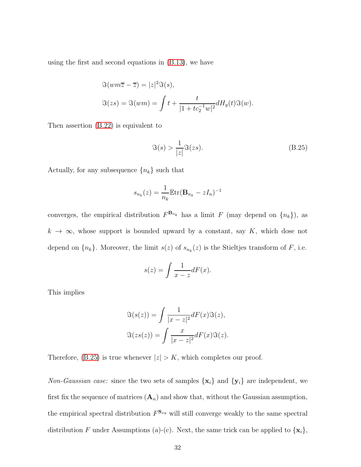using the first and second equations in [\(B.13\)](#page-27-0), we have

$$
\Im(wm\overline{z}-\overline{z}) = |z|^2 \Im(s),
$$
  

$$
\Im(zs) = \Im(wm) = \int t + \frac{t}{|1+tc_2^{-1}w|^2} dH_y(t) \Im(w).
$$

Then assertion [\(B.22\)](#page-30-2) is equivalent to

<span id="page-31-0"></span>
$$
\Im(s) > \frac{1}{|z|} \Im(zs). \tag{B.25}
$$

Actually, for any subsequence  $\{n_k\}$  such that

$$
s_{n_k}(z) = \frac{1}{n_k} \mathbb{E} \text{tr}(\mathbf{B}_{n_k} - zI_n)^{-1}
$$

converges, the empirical distribution  $F^{\mathbf{B}_{n_k}}$  has a limit F (may depend on  $\{n_k\}$ ), as  $k \to \infty$ , whose support is bounded upward by a constant, say K, which dose not depend on  $\{n_k\}$ . Moreover, the limit  $s(z)$  of  $s_{n_k}(z)$  is the Stieltjes transform of F, i.e.

$$
s(z) = \int \frac{1}{x - z} dF(x).
$$

This implies

$$
\Im(s(z)) = \int \frac{1}{|x - z|^2} dF(x)\Im(z),
$$
  

$$
\Im(zs(z)) = \int \frac{x}{|x - z|^2} dF(x)\Im(z).
$$

Therefore, [\(B.25\)](#page-31-0) is true whenever  $|z| > K$ , which completes our proof.

Non-Gaussian case: since the two sets of samples  $\{x_i\}$  and  $\{y_i\}$  are independent, we first fix the sequence of matrices  $(A_n)$  and show that, without the Gaussian assumption, the empirical spectral distribution  $F^{\mathbf{S}_{xy}}$  will still converge weakly to the same spectral distribution F under Assumptions (a)-(c). Next, the same trick can be applied to  $\{x_i\}$ ,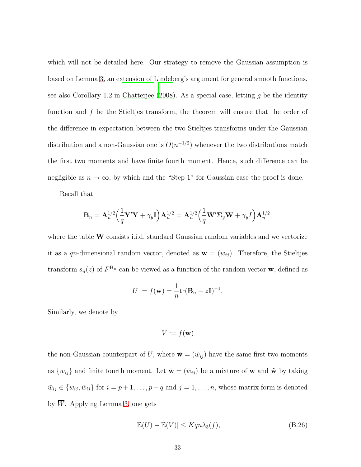which will not be detailed here. Our strategy to remove the Gaussian assumption is based on Lemma [3,](#page-19-1) an extension of Lindeberg's argument for general smooth functions, see also Corollary 1.2 in [Chatterjee \(2008](#page-41-2)). As a special case, letting  $q$  be the identity function and  $f$  be the Stieltjes transform, the theorem will ensure that the order of the difference in expectation between the two Stieltjes transforms under the Gaussian distribution and a non-Gaussian one is  $O(n^{-1/2})$  whenever the two distributions match the first two moments and have finite fourth moment. Hence, such difference can be negligible as  $n \to \infty$ , by which and the "Step 1" for Gaussian case the proof is done.

Recall that

$$
\mathbf{B}_n = \mathbf{A}_n^{1/2} \Big(\frac{1}{q} \mathbf{Y}'\mathbf{Y} + \gamma_y \mathbf{I}\Big) \mathbf{A}_n^{1/2} = \mathbf{A}_n^{1/2} \Big(\frac{1}{q} \mathbf{W}'\mathbf{\Sigma}_y \mathbf{W} + \gamma_y I\Big) \mathbf{A}_n^{1/2},
$$

where the table  $W$  consists i.i.d. standard Gaussian random variables and we vectorize it as a qn-dimensional random vector, denoted as  $\mathbf{w} = (w_{ij})$ . Therefore, the Stieltjes transform  $s_n(z)$  of  $F^{\mathbf{B}_n}$  can be viewed as a function of the random vector **w**, defined as

$$
U := f(\mathbf{w}) = \frac{1}{n} \text{tr}(\mathbf{B}_n - z\mathbf{I})^{-1},
$$

Similarly, we denote by

<span id="page-32-0"></span>
$$
V := f(\tilde{\mathbf{w}})
$$

the non-Gaussian counterpart of U, where  $\tilde{\mathbf{w}} = (\tilde{w}_{ij})$  have the same first two moments as  $\{w_{ij}\}\$ and finite fourth moment. Let  $\bar{\mathbf{w}} = (\bar{w}_{ij})$  be a mixture of **w** and  $\tilde{\mathbf{w}}$  by taking  $\bar{w}_{ij} \in \{w_{ij}, \tilde{w}_{ij}\}\$ for  $i = p + 1, \ldots, p + q$  and  $j = 1, \ldots, n$ , whose matrix form is denoted by  $\overline{W}$ . Applying Lemma [3,](#page-19-1) one gets

$$
|\mathbb{E}(U) - \mathbb{E}(V)| \le K q n \lambda_3(f), \tag{B.26}
$$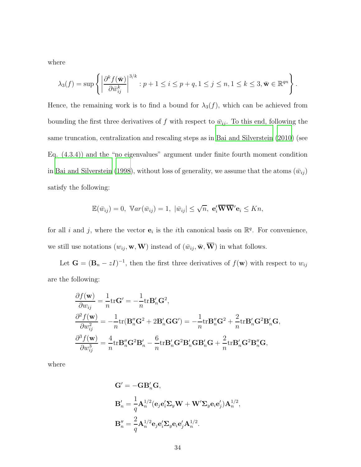where

$$
\lambda_3(f) = \sup \left\{ \left| \frac{\partial^k f(\bar{\mathbf{w}})}{\partial \bar{w}_{ij}^k} \right|^{3/k} : p+1 \le i \le p+q, 1 \le j \le n, 1 \le k \le 3, \bar{\mathbf{w}} \in \mathbb{R}^{qn} \right\}.
$$

Hence, the remaining work is to find a bound for  $\lambda_3(f)$ , which can be achieved from bounding the first three derivatives of f with respect to  $\bar{w}_{ij}$ . To this end, following the same truncation, centralization and rescaling steps as in [Bai and Silverstein \(2010\)](#page-41-0) (see Eq. (4.3.4)) and the "no eigenvalues" argument under finite fourth moment condition in [Bai and Silverstein \(1998\)](#page-40-0), without loss of generality, we assume that the atoms  $(\bar{w}_{ij})$ satisfy the following:

$$
\mathbb{E}(\bar{w}_{ij})=0, \ \mathbb{V}ar(\bar{w}_{ij})=1, \ |\bar{w}_{ij}|\leq \sqrt{n}, \ \mathbf{e}'_i\overline{\mathbf{W}}\overline{\mathbf{W}}'\mathbf{e}_i\leq Kn,
$$

for all i and j, where the vector  $e_i$  is the ith canonical basis on  $\mathbb{R}^q$ . For convenience, we still use notations  $(w_{ij}, \mathbf{w}, \mathbf{W})$  instead of  $(\bar{w}_{ij}, \bar{\mathbf{w}}, \overline{\mathbf{W}})$  in what follows.

Let  $\mathbf{G} = (\mathbf{B}_n - zI)^{-1}$ , then the first three derivatives of  $f(\mathbf{w})$  with respect to  $w_{ij}$ are the following:

$$
\frac{\partial f(\mathbf{w})}{\partial w_{ij}} = \frac{1}{n} \text{tr} \mathbf{G}' = -\frac{1}{n} \text{tr} \mathbf{B}'_n \mathbf{G}^2,
$$
\n
$$
\frac{\partial^2 f(\mathbf{w})}{\partial w_{ij}^2} = -\frac{1}{n} \text{tr} (\mathbf{B}''_n \mathbf{G}^2 + 2 \mathbf{B}'_n \mathbf{G} \mathbf{G}') = -\frac{1}{n} \text{tr} \mathbf{B}''_n \mathbf{G}^2 + \frac{2}{n} \text{tr} \mathbf{B}'_n \mathbf{G}^2 \mathbf{B}'_n \mathbf{G},
$$
\n
$$
\frac{\partial^3 f(\mathbf{w})}{\partial w_{ij}^3} = \frac{4}{n} \text{tr} \mathbf{B}''_n \mathbf{G}^2 \mathbf{B}'_n - \frac{6}{n} \text{tr} \mathbf{B}'_n \mathbf{G}^2 \mathbf{B}'_n \mathbf{G} \mathbf{B}'_n \mathbf{G} + \frac{2}{n} \text{tr} \mathbf{B}'_n \mathbf{G}^2 \mathbf{B}''_n \mathbf{G},
$$

where

$$
\mathbf{G}' = -\mathbf{G}\mathbf{B}'_n \mathbf{G},
$$
  
\n
$$
\mathbf{B}'_n = \frac{1}{q} \mathbf{A}_n^{1/2} (\mathbf{e}_j \mathbf{e}'_i \Sigma_y \mathbf{W} + \mathbf{W}' \Sigma_y \mathbf{e}_i \mathbf{e}'_j) \mathbf{A}_n^{1/2},
$$
  
\n
$$
\mathbf{B}''_n = \frac{2}{q} \mathbf{A}_n^{1/2} \mathbf{e}_j \mathbf{e}'_i \Sigma_y \mathbf{e}_i \mathbf{e}'_j \mathbf{A}_n^{1/2}.
$$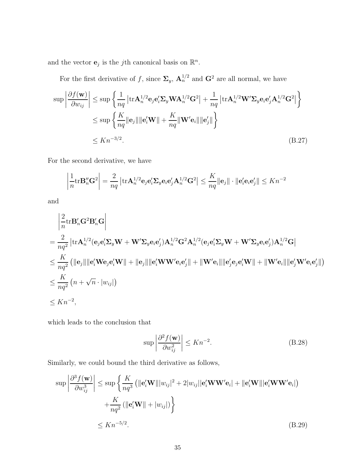and the vector  $\mathbf{e}_j$  is the *j*th canonical basis on  $\mathbb{R}^n$ .

For the first derivative of f, since  $\Sigma_y$ ,  $\mathbf{A}_n^{1/2}$  and  $\mathbf{G}^2$  are all normal, we have

$$
\sup \left| \frac{\partial f(\mathbf{w})}{\partial w_{ij}} \right| \leq \sup \left\{ \frac{1}{nq} \left| \text{tr} \mathbf{A}_n^{1/2} \mathbf{e}_j \mathbf{e}_i^{\prime} \mathbf{\Sigma}_y \mathbf{W} \mathbf{A}_n^{1/2} \mathbf{G}^2 \right| + \frac{1}{nq} \left| \text{tr} \mathbf{A}_n^{1/2} \mathbf{W}^{\prime} \mathbf{\Sigma}_y \mathbf{e}_i \mathbf{e}_j^{\prime} \mathbf{A}_n^{1/2} \mathbf{G}^2 \right| \right\}
$$
  

$$
\leq \sup \left\{ \frac{K}{nq} \|\mathbf{e}_j\| \|\mathbf{e}_i^{\prime} \mathbf{W} \| + \frac{K}{nq} \|\mathbf{W}^{\prime} \mathbf{e}_i\| \|\mathbf{e}_j^{\prime} \| \right\}
$$
  

$$
\leq K n^{-3/2}.
$$
 (B.27)

For the second derivative, we have

<span id="page-34-0"></span>
$$
\left|\frac{1}{n}\text{tr}\mathbf{B}_n''\mathbf{G}^2\right| = \frac{2}{nq} \left|\text{tr}\mathbf{A}_n^{1/2}\mathbf{e}_j\mathbf{e}_i'\mathbf{\Sigma}_y\mathbf{e}_i\mathbf{e}_j'\mathbf{A}_n^{1/2}\mathbf{G}^2\right| \leq \frac{K}{nq} \|\mathbf{e}_j\| \cdot \|\mathbf{e}_i'\mathbf{e}_i\mathbf{e}_j'\| \leq Kn^{-2}
$$

and

$$
\begin{aligned}\n&\left|\frac{2}{n}\text{tr}\mathbf{B}_{n}'\mathbf{G}^{2}\mathbf{B}_{n}'\mathbf{G}\right| \\
&=\frac{2}{nq^{2}}\left|\text{tr}\mathbf{A}_{n}^{1/2}(\mathbf{e}_{j}\mathbf{e}_{i}'\mathbf{\Sigma}_{y}\mathbf{W}+\mathbf{W}'\mathbf{\Sigma}_{y}\mathbf{e}_{i}\mathbf{e}_{j}')\mathbf{A}_{n}^{1/2}\mathbf{G}^{2}\mathbf{A}_{n}^{1/2}(\mathbf{e}_{j}\mathbf{e}_{i}'\mathbf{\Sigma}_{y}\mathbf{W}+\mathbf{W}'\mathbf{\Sigma}_{y}\mathbf{e}_{i}\mathbf{e}_{j}')\mathbf{A}_{n}^{1/2}\mathbf{G}\right| \\
&\leq \frac{K}{nq^{2}}\left(\|\mathbf{e}_{j}\|\|\mathbf{e}_{i}'\mathbf{W}\mathbf{e}_{j}\mathbf{e}_{i}'\mathbf{W}\|+\|\mathbf{e}_{j}\|\|\mathbf{e}_{i}'\mathbf{W}\mathbf{W}'\mathbf{e}_{i}\mathbf{e}_{j}'\|+\|\mathbf{W}'\mathbf{e}_{i}\|\|\mathbf{e}_{j}'\mathbf{e}_{j}\mathbf{e}_{i}'\mathbf{W}\|+\|\mathbf{W}'\mathbf{e}_{i}\|\|\mathbf{e}_{j}'\mathbf{W}'\mathbf{e}_{i}\mathbf{e}_{j}'\|\right) \\
&\leq \frac{K}{nq^{2}}\left(n+\sqrt{n}\cdot|w_{ij}|\right) \\
&\leq Kn^{-2},\n\end{aligned}
$$

which leads to the conclusion that

<span id="page-34-2"></span><span id="page-34-1"></span>
$$
\sup \left| \frac{\partial^2 f(\mathbf{w})}{\partial w_{ij}^2} \right| \le Kn^{-2}.\tag{B.28}
$$

Similarly, we could bound the third derivative as follows,

$$
\sup \left| \frac{\partial^3 f(\mathbf{w})}{\partial w_{ij}^3} \right| \leq \sup \left\{ \frac{K}{nq^3} \left( \|\mathbf{e}_i' \mathbf{W}\| |w_{ij}|^2 + 2|w_{ij}||\mathbf{e}_i' \mathbf{W}\mathbf{W}'\mathbf{e}_i| + \|\mathbf{e}_i' \mathbf{W}\| |\mathbf{e}_i' \mathbf{W}\mathbf{W}'\mathbf{e}_i| \right) + \frac{K}{nq^2} \left( \|\mathbf{e}_i' \mathbf{W}\| + |w_{ij}|\right) \right\}
$$
  

$$
\leq Kn^{-5/2}.
$$
 (B.29)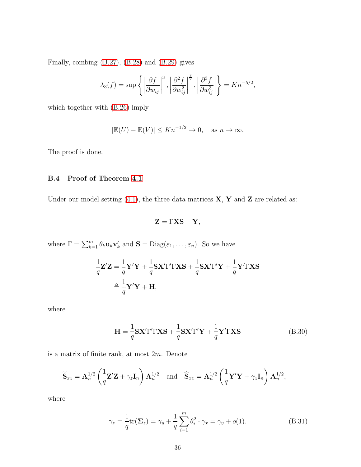Finally, combing [\(B.27\)](#page-34-0), [\(B.28\)](#page-34-1) and [\(B.29\)](#page-34-2) gives

$$
\lambda_3(f) = \sup \left\{ \left| \frac{\partial f}{\partial w_{ij}} \right|^3, \left| \frac{\partial^2 f}{\partial w_{ij}^2} \right|^{\frac{3}{2}}, \left| \frac{\partial^3 f}{\partial w_{ij}^3} \right| \right\} = Kn^{-5/2},
$$

which together with [\(B.26\)](#page-32-0) imply

$$
|\mathbb{E}(U) - \mathbb{E}(V)| \le Kn^{-1/2} \to 0, \quad \text{as } n \to \infty.
$$

The proof is done.

# B.4 Proof of Theorem [4.1](#page-8-0)

Under our model setting [\(4.1\)](#page-7-1), the three data matrices  $X, Y$  and  $Z$  are related as:

<span id="page-35-1"></span>
$$
\mathbf{Z} = \Gamma \mathbf{X} \mathbf{S} + \mathbf{Y},
$$

where  $\Gamma = \sum_{k=1}^{m} \theta_k \mathbf{u}_k \mathbf{v}'_k$  and  $\mathbf{S} = \text{Diag}(\varepsilon_1, \dots, \varepsilon_n)$ . So we have

$$
\frac{1}{q}\mathbf{Z}'\mathbf{Z} = \frac{1}{q}\mathbf{Y}'\mathbf{Y} + \frac{1}{q}\mathbf{S}\mathbf{X}'\Gamma'\Gamma\mathbf{X}\mathbf{S} + \frac{1}{q}\mathbf{S}\mathbf{X}'\Gamma'\mathbf{Y} + \frac{1}{q}\mathbf{Y}'\Gamma\mathbf{X}\mathbf{S}
$$

$$
\triangleq \frac{1}{q}\mathbf{Y}'\mathbf{Y} + \mathbf{H},
$$

where

$$
\mathbf{H} = \frac{1}{q} \mathbf{S} \mathbf{X}' \Gamma' \Gamma \mathbf{X} \mathbf{S} + \frac{1}{q} \mathbf{S} \mathbf{X}' \Gamma' \mathbf{Y} + \frac{1}{q} \mathbf{Y}' \Gamma \mathbf{X} \mathbf{S}
$$
(B.30)

is a matrix of finite rank, at most 2m. Denote

$$
\widetilde{\mathbf{S}}_{xz} = \mathbf{A}_n^{1/2} \left( \frac{1}{q} \mathbf{Z}' \mathbf{Z} + \gamma_z \mathbf{I}_n \right) \mathbf{A}_n^{1/2} \quad \text{and} \quad \widehat{\mathbf{S}}_{xz} = \mathbf{A}_n^{1/2} \left( \frac{1}{q} \mathbf{Y}' \mathbf{Y} + \gamma_z \mathbf{I}_n \right) \mathbf{A}_n^{1/2},
$$

where

<span id="page-35-0"></span>
$$
\gamma_z = \frac{1}{q} \text{tr}(\Sigma_z) = \gamma_y + \frac{1}{q} \sum_{i=1}^m \theta_i^2 \cdot \gamma_x = \gamma_y + o(1). \tag{B.31}
$$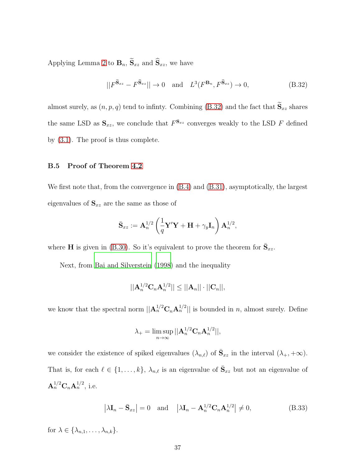Applying Lemma [2](#page-19-0) to  $\mathbf{B}_n$ ,  $\widetilde{\mathbf{S}}_{xz}$  and  $\widehat{\mathbf{S}}_{xz}$ , we have

<span id="page-36-0"></span>
$$
||F^{\widetilde{\mathbf{S}}_{xz}} - F^{\widehat{\mathbf{S}}_{xz}}|| \to 0 \quad \text{and} \quad L^3(F^{\mathbf{B}_n}, F^{\widehat{\mathbf{S}}_{xz}}) \to 0,
$$
 (B.32)

almost surely, as  $(n, p, q)$  tend to infinty. Combining [\(B.32\)](#page-36-0) and the fact that  $\widetilde{S}_{xz}$  shares the same LSD as  $\mathbf{S}_{xz}$ , we conclude that  $F^{\mathbf{S}_{xz}}$  converges weakly to the LSD F defined by [\(3.1\)](#page-4-4). The proof is thus complete.

## B.5 Proof of Theorem [4.2](#page-9-3)

We first note that, from the convergence in [\(B.4\)](#page-23-0) and [\(B.31\)](#page-35-0), asymptotically, the largest eigenvalues of  $S_{xz}$  are the same as those of

$$
\bar{\mathbf{S}}_{xz}:=\mathbf{A}_n^{1/2}\left(\frac{1}{q}\mathbf{Y}'\mathbf{Y}+\mathbf{H}+\gamma_y\mathbf{I}_n\right)\mathbf{A}_n^{1/2},
$$

where **H** is given in [\(B.30\)](#page-35-1). So it's equivalent to prove the theorem for  $\bar{S}_{xz}$ .

Next, from [Bai and Silverstein \(1998\)](#page-40-0) and the inequality

$$
||A_n^{1/2}C_nA_n^{1/2}|| \le ||A_n|| \cdot ||C_n||,
$$

we know that the spectral norm  $||\mathbf{A}_n^{1/2}\mathbf{C}_n\mathbf{A}_n^{1/2}||$  is bounded in n, almost surely. Define

<span id="page-36-1"></span>
$$
\lambda_{+} = \limsup_{n \to \infty} ||\mathbf{A}_{n}^{1/2} \mathbf{C}_{n} \mathbf{A}_{n}^{1/2}||,
$$

we consider the existence of spiked eigenvalues  $(\lambda_{n,\ell})$  of  $\bar{S}_{xz}$  in the interval  $(\lambda_+, +\infty)$ . That is, for each  $\ell \in \{1, \ldots, k\}$ ,  $\lambda_{n,\ell}$  is an eigenvalue of  $\bar{S}_{xz}$  but not an eigenvalue of  ${\bf A}_n^{1/2} {\bf C}_n {\bf A}_n^{1/2}$ , i.e.

$$
\left|\lambda \mathbf{I}_n - \bar{\mathbf{S}}_{xz}\right| = 0 \quad \text{and} \quad \left|\lambda \mathbf{I}_n - \mathbf{A}_n^{1/2} \mathbf{C}_n \mathbf{A}_n^{1/2}\right| \neq 0,
$$
\n(B.33)

for  $\lambda \in \{\lambda_{n,1}, \ldots, \lambda_{n,k}\}.$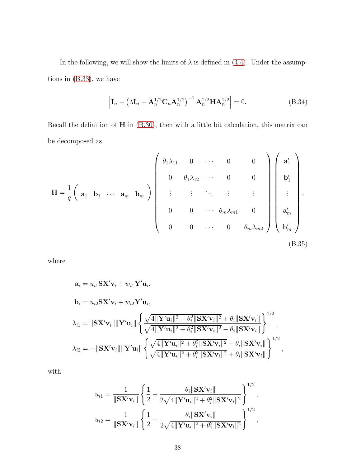In the following, we will show the limits of  $\lambda$  is defined in [\(4.4\)](#page-9-2). Under the assumptions in [\(B.33\)](#page-36-1), we have

<span id="page-37-0"></span>
$$
\left| \mathbf{I}_n - \left( \lambda \mathbf{I}_n - \mathbf{A}_n^{1/2} \mathbf{C}_n \mathbf{A}_n^{1/2} \right)^{-1} \mathbf{A}_n^{1/2} \mathbf{H} \mathbf{A}_n^{1/2} \right| = 0.
$$
 (B.34)

Recall the definition of H in [\(B.30\)](#page-35-1), then with a little bit calculation, this matrix can be decomposed as

$$
\mathbf{H} = \frac{1}{q} \begin{pmatrix} \mathbf{a}_1 & \mathbf{b}_1 & \cdots & \mathbf{a}_m & \mathbf{b}_m \end{pmatrix} \begin{pmatrix} \theta_1 \lambda_{11} & 0 & \cdots & 0 & 0 \\ 0 & \theta_1 \lambda_{12} & \cdots & 0 & 0 \\ \vdots & \vdots & \ddots & \vdots & \vdots \\ 0 & 0 & \cdots & \theta_m \lambda_{m1} & 0 \\ 0 & 0 & \cdots & 0 & \theta_m \lambda_{m2} \end{pmatrix} \begin{pmatrix} \mathbf{a}'_1 \\ \mathbf{b}'_1 \\ \vdots \\ \mathbf{a}'_m \\ \mathbf{b}'_m \end{pmatrix},
$$
\n(B.35)

where

<span id="page-37-1"></span>
$$
\mathbf{a}_{i} = u_{i1} \mathbf{S} \mathbf{X}' \mathbf{v}_{i} + w_{i1} \mathbf{Y}' \mathbf{u}_{i},
$$
\n
$$
\mathbf{b}_{i} = u_{i2} \mathbf{S} \mathbf{X}' \mathbf{v}_{i} + w_{i2} \mathbf{Y}' \mathbf{u}_{i},
$$
\n
$$
\lambda_{i1} = \|\mathbf{S} \mathbf{X}' \mathbf{v}_{i}\| \|\mathbf{Y}' \mathbf{u}_{i}\| \left\{ \frac{\sqrt{4\|\mathbf{Y}'\mathbf{u}_{i}\|^{2} + \theta_{i}^{2}\|\mathbf{S} \mathbf{X}' \mathbf{v}_{i}\|^{2} + \theta_{i}\|\mathbf{S} \mathbf{X}' \mathbf{v}_{i}\|}{\sqrt{4\|\mathbf{Y}'\mathbf{u}_{i}\|^{2} + \theta_{i}^{2}\|\mathbf{S} \mathbf{X}' \mathbf{v}_{i}\|^{2} - \theta_{i}\|\mathbf{S} \mathbf{X}' \mathbf{v}_{i}\|} \right\},
$$
\n
$$
\lambda_{i2} = -\|\mathbf{S} \mathbf{X}' \mathbf{v}_{i}\| \|\mathbf{Y}' \mathbf{u}_{i}\| \left\{ \frac{\sqrt{4\|\mathbf{Y}'\mathbf{u}_{i}\|^{2} + \theta_{i}^{2}\|\mathbf{S} \mathbf{X}' \mathbf{v}_{i}\|^{2} - \theta_{i}\|\mathbf{S} \mathbf{X}' \mathbf{v}_{i}\|}{\sqrt{4\|\mathbf{Y}'\mathbf{u}_{i}\|^{2} + \theta_{i}^{2}\|\mathbf{S} \mathbf{X}' \mathbf{v}_{i}\|^{2} + \theta_{i}\|\mathbf{S} \mathbf{X}' \mathbf{v}_{i}\|} \right\}^{1/2},
$$

with

$$
u_{i1} = \frac{1}{\|\mathbf{S} \mathbf{X}' \mathbf{v}_{i}\|} \left\{ \frac{1}{2} + \frac{\theta_{i} \|\mathbf{S} \mathbf{X}' \mathbf{v}_{i}\|}{2\sqrt{4\|\mathbf{Y}' \mathbf{u}_{i}\|^{2} + \theta_{i}^{2}\|\mathbf{S} \mathbf{X}' \mathbf{v}_{i}\|^{2}}} \right\}^{1/2},
$$
  

$$
u_{i2} = \frac{1}{\|\mathbf{S} \mathbf{X}' \mathbf{v}_{i}\|} \left\{ \frac{1}{2} - \frac{\theta_{i} \|\mathbf{S} \mathbf{X}' \mathbf{v}_{i}\|}{2\sqrt{4\|\mathbf{Y}' \mathbf{u}_{i}\|^{2} + \theta_{1}^{2}\|\mathbf{S} \mathbf{X}' \mathbf{v}_{i}\|^{2}}} \right\}^{1/2},
$$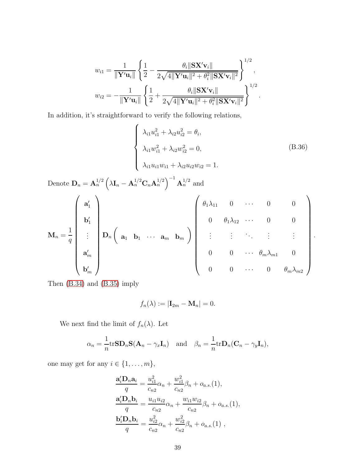<span id="page-38-0"></span>
$$
w_{i1} = \frac{1}{\|\mathbf{Y}'\mathbf{u}_{i}\|} \left\{ \frac{1}{2} - \frac{\theta_{i} \|\mathbf{S} \mathbf{X}' \mathbf{v}_{i}\|}{2\sqrt{4\|\mathbf{Y}'\mathbf{u}_{i}\|^{2} + \theta_{i}^{2}\|\mathbf{S} \mathbf{X}'\mathbf{v}_{i}\|^{2}}} \right\}^{1/2},
$$
  

$$
w_{i2} = -\frac{1}{\|\mathbf{Y}'\mathbf{u}_{i}\|} \left\{ \frac{1}{2} + \frac{\theta_{i} \|\mathbf{S} \mathbf{X}'\mathbf{v}_{i}\|}{2\sqrt{4\|\mathbf{Y}'\mathbf{u}_{i}\|^{2} + \theta_{i}^{2}\|\mathbf{S} \mathbf{X}'\mathbf{v}_{i}\|^{2}}} \right\}^{1/2}.
$$

In addition, it's straightforward to verify the following relations,

$$
\begin{cases}\n\lambda_{i1}u_{i1}^{2} + \lambda_{i2}u_{i2}^{2} = \theta_{i}, \\
\lambda_{i1}u_{i1}^{2} + \lambda_{i2}u_{i2}^{2} = 0, \\
\lambda_{i1}u_{i1}w_{i1} + \lambda_{i2}u_{i2}w_{i2} = 1.\n\end{cases}
$$
\n(B.36)  
\nDenote  $\mathbf{D}_{n} = \mathbf{A}_{n}^{1/2} \left( \lambda \mathbf{I}_{n} - \mathbf{A}_{n}^{1/2} \mathbf{C}_{n} \mathbf{A}_{n}^{1/2} \right)^{-1} \mathbf{A}_{n}^{1/2}$  and  
\n
$$
\mathbf{M}_{n} = \frac{1}{q} \begin{pmatrix}\n\mathbf{a}_{1}^{'} \\
\mathbf{b}_{1}^{'} \\
\mathbf{b}_{1}^{'} \\
\mathbf{a}_{m}^{'}\n\end{pmatrix} \mathbf{D}_{n} \left( \mathbf{a}_{1} \mathbf{b}_{1} \cdots \mathbf{a}_{m} \mathbf{b}_{m} \right) \begin{pmatrix}\n\theta_{1} \lambda_{11} & 0 & \cdots & 0 & 0 \\
0 & \theta_{1} \lambda_{12} & \cdots & 0 & 0 \\
\vdots & \vdots & \ddots & \vdots & \vdots \\
0 & 0 & \cdots & \theta_{m} \lambda_{m1} & 0 \\
0 & 0 & \cdots & 0 & \theta_{m} \lambda_{m2}\n\end{pmatrix}.
$$

Then [\(B.34\)](#page-37-0) and [\(B.35\)](#page-37-1) imply

$$
f_n(\lambda) := |\mathbf{I}_{2m} - \mathbf{M}_n| = 0.
$$

We next find the limit of  $f_n(\lambda)$ . Let

$$
\alpha_n = \frac{1}{n} trSD_nS(\mathbf{A}_n - \gamma_x \mathbf{I}_n) \text{ and } \beta_n = \frac{1}{n} trD_n(\mathbf{C}_n - \gamma_y \mathbf{I}_n),
$$

one may get for any  $i \in \{1, \ldots, m\}$ ,

$$
\frac{\mathbf{a}'_i \mathbf{D}_n \mathbf{a}_i}{q} = \frac{u_{i1}^2}{c_{n2}} \alpha_n + \frac{w_{i1}^2}{c_{n2}} \beta_n + o_{a.s.}(1),
$$
  
\n
$$
\frac{\mathbf{a}'_i \mathbf{D}_n \mathbf{b}_i}{q} = \frac{u_{i1} u_{i2}}{c_{n2}} \alpha_n + \frac{w_{i1} w_{i2}}{c_{n2}} \beta_n + o_{a.s.}(1),
$$
  
\n
$$
\frac{\mathbf{b}'_i \mathbf{D}_n \mathbf{b}_i}{q} = \frac{u_{i2}^2}{c_{n2}} \alpha_n + \frac{w_{i2}^2}{c_{n2}} \beta_n + o_{a.s.}(1),
$$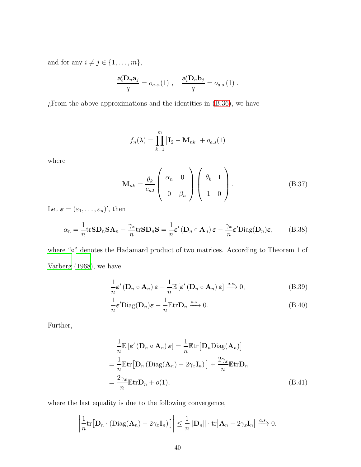and for any  $i \neq j \in \{1, \ldots, m\}$ ,

$$
\frac{\mathbf{a}'_i \mathbf{D}_n \mathbf{a}_j}{q} = o_{a.s.}(1) , \quad \frac{\mathbf{a}'_i \mathbf{D}_n \mathbf{b}_j}{q} = o_{a.s.}(1) .
$$

 $\chi$ From the above approximations and the identities in [\(B.36\)](#page-38-0), we have

<span id="page-39-2"></span>
$$
f_n(\lambda) = \prod_{k=1}^m |\mathbf{I}_2 - \mathbf{M}_{nk}| + o_{a.s}(1)
$$

where

<span id="page-39-0"></span>
$$
\mathbf{M}_{nk} = \frac{\theta_k}{c_{n2}} \begin{pmatrix} \alpha_n & 0 \\ 0 & \beta_n \end{pmatrix} \begin{pmatrix} \theta_k & 1 \\ 1 & 0 \end{pmatrix} .
$$
 (B.37)

Let  $\boldsymbol{\varepsilon} = (\varepsilon_1, \ldots, \varepsilon_n)'$ , then

$$
\alpha_n = \frac{1}{n} \text{trSD}_n \mathbf{SA}_n - \frac{\gamma_x}{n} \text{trSD}_n \mathbf{S} = \frac{1}{n} \varepsilon' \left( \mathbf{D}_n \circ \mathbf{A}_n \right) \varepsilon - \frac{\gamma_x}{n} \varepsilon' \text{Diag}(\mathbf{D}_n) \varepsilon, \tag{B.38}
$$

where "∘" denotes the Hadamard product of two matrices. According to Theorem 1 of [Varberg \(1968\)](#page-41-6), we have

$$
\frac{1}{n}\boldsymbol{\varepsilon}'\left(\mathbf{D}_n\circ\mathbf{A}_n\right)\boldsymbol{\varepsilon}-\frac{1}{n}\mathbb{E}\left[\boldsymbol{\varepsilon}'\left(\mathbf{D}_n\circ\mathbf{A}_n\right)\boldsymbol{\varepsilon}\right]\xrightarrow{a.s.}0,\tag{B.39}
$$

$$
\frac{1}{n}\boldsymbol{\varepsilon}'\text{Diag}(\mathbf{D}_n)\boldsymbol{\varepsilon} - \frac{1}{n}\mathbb{E}\text{tr}\mathbf{D}_n \xrightarrow{a.s.} 0.
$$
 (B.40)

Further,

<span id="page-39-1"></span>
$$
\frac{1}{n}\mathbb{E}\left[\varepsilon'(\mathbf{D}_n \circ \mathbf{A}_n)\,\varepsilon\right] = \frac{1}{n}\mathbb{E}\mathrm{tr}\big[\mathbf{D}_n \text{Diag}(\mathbf{A}_n)\big]
$$
\n
$$
= \frac{1}{n}\mathbb{E}\mathrm{tr}\big[\mathbf{D}_n\left(\text{Diag}(\mathbf{A}_n) - 2\gamma_x \mathbf{I}_n\right)\big] + \frac{2\gamma_x}{n}\mathbb{E}\mathrm{tr}\mathbf{D}_n
$$
\n
$$
= \frac{2\gamma_x}{n}\mathbb{E}\mathrm{tr}\mathbf{D}_n + o(1),\tag{B.41}
$$

where the last equality is due to the following convergence,

$$
\left|\frac{1}{n}\mathrm{tr}\big[\mathbf{D}_n\cdot(\mathrm{Diag}(\mathbf{A}_n)-2\gamma_x\mathbf{I}_n)\big]\right|\leq \frac{1}{n}\|\mathbf{D}_n\|\cdot\mathrm{tr}\big|\mathbf{A}_n-2\gamma_x\mathbf{I}_n\big|\xrightarrow{a.s.}0.
$$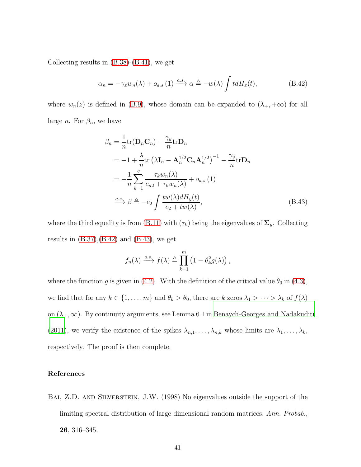Collecting results in [\(B.38\)](#page-39-0)-[\(B.41\)](#page-39-1), we get

<span id="page-40-1"></span>
$$
\alpha_n = -\gamma_x w_n(\lambda) + o_{a.s.}(1) \xrightarrow{a.s.} \alpha \triangleq -w(\lambda) \int t dH_x(t), \qquad (B.42)
$$

where  $w_n(z)$  is defined in [\(B.9\)](#page-25-0), whose domain can be expanded to  $(\lambda_+, +\infty)$  for all large *n*. For  $\beta_n$ , we have

$$
\beta_n = \frac{1}{n} tr(\mathbf{D}_n \mathbf{C}_n) - \frac{\gamma_y}{n} tr \mathbf{D}_n
$$
  
\n
$$
= -1 + \frac{\lambda}{n} tr(\lambda \mathbf{I}_n - \mathbf{A}_n^{1/2} \mathbf{C}_n \mathbf{A}_n^{1/2})^{-1} - \frac{\gamma_y}{n} tr \mathbf{D}_n
$$
  
\n
$$
= -\frac{1}{n} \sum_{k=1}^q \frac{\tau_k w_n(\lambda)}{c_{n2} + \tau_k w_n(\lambda)} + o_{a.s.}(1)
$$
  
\n
$$
\xrightarrow{a.s.} \beta \triangleq -c_2 \int \frac{tw(\lambda) dH_y(t)}{c_2 + tw(\lambda)},
$$
 (B.43)

where the third equality is from [\(B.11\)](#page-26-1) with  $(\tau_k)$  being the eigenvalues of  $\Sigma_y$ . Collecting results in  $(B.37), (B.42)$  $(B.37), (B.42)$  and  $(B.43),$  we get

<span id="page-40-2"></span>
$$
f_n(\lambda) \xrightarrow{a.s.} f(\lambda) \triangleq \prod_{k=1}^m (1 - \theta_k^2 g(\lambda)),
$$

where the function g is given in [\(4.2\)](#page-8-1). With the definition of the critical value  $\theta_0$  in [\(4.3\)](#page-9-4), we find that for any  $k \in \{1, ..., m\}$  and  $\theta_k > \theta_0$ , there are k zeros  $\lambda_1 > \cdots > \lambda_k$  of  $f(\lambda)$ on  $(\lambda_+, \infty)$ . By continuity arguments, see Lemma 6.1 in [Benaych-Georges and](#page-41-7) Nadakuditi [\(2011\)](#page-41-7), we verify the existence of the spikes  $\lambda_{n,1}, \ldots, \lambda_{n,k}$  whose limits are  $\lambda_1, \ldots, \lambda_k$ , respectively. The proof is then complete.

## References

<span id="page-40-0"></span>BAI, Z.D. AND SILVERSTEIN, J.W. (1998) No eigenvalues outside the support of the limiting spectral distribution of large dimensional random matrices. Ann. Probab., 26, 316–345.